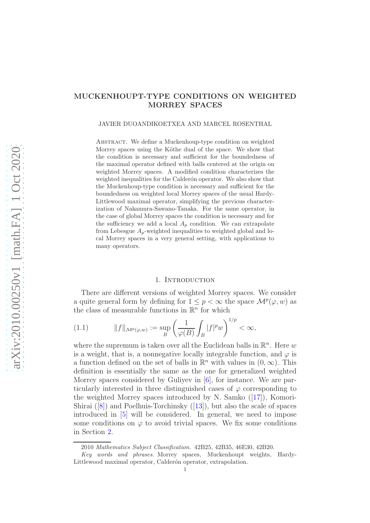# MUCKENHOUPT-TYPE CONDITIONS ON WEIGHTED MORREY SPACES

#### JAVIER DUOANDIKOETXEA AND MARCEL ROSENTHAL

ABSTRACT. We define a Muckenhoup-type condition on weighted Morrey spaces using the Köthe dual of the space. We show that the condition is necessary and sufficient for the boundedness of the maximal operator defined with balls centered at the origin on weighted Morrey spaces. A modified condition characterizes the weighted inequalities for the Calderón operator. We also show that the Muckenhoup-type condition is necessary and sufficient for the boundedness on weighted local Morrey spaces of the usual Hardy-Littlewood maximal operator, simplifying the previous characterization of Nakamura-Sawano-Tanaka. For the same operator, in the case of global Morrey spaces the condition is necessary and for the sufficiency we add a local  $A_p$  condition. We can extrapolate from Lebesgue  $A_p$ -weighted inequalities to weighted global and local Morrey spaces in a very general setting, with applications to many operators.

## 1. INTRODUCTION

There are different versions of weighted Morrey spaces. We consider a quite general form by defining for  $1 \leq p < \infty$  the space  $\mathcal{M}^p(\varphi, w)$  as the class of measurable functions in  $\mathbb{R}^n$  for which

<span id="page-0-0"></span>(1.1) 
$$
||f||_{\mathcal{M}^p(\varphi,w)} := \sup_B \left( \frac{1}{\varphi(B)} \int_B |f|^p w \right)^{1/p} < \infty,
$$

where the supremum is taken over all the Euclidean balls in  $\mathbb{R}^n$ . Here w is a weight, that is, a nonnegative locally integrable function, and  $\varphi$  is a function defined on the set of balls in  $\mathbb{R}^n$  with values in  $(0, \infty)$ . This definition is essentially the same as the one for generalized weighted Morrey spaces considered by Guliyev in [\[6\]](#page-30-0), for instance. We are particularly interested in three distinguished cases of  $\varphi$  corresponding to the weighted Morrey spaces introduced by N. Samko ([\[17\]](#page-30-1)), Komori-Shirai ([\[8\]](#page-30-2)) and Poelhuis-Torchinsky ([\[13\]](#page-30-3)), but also the scale of spaces introduced in [\[5\]](#page-29-0) will be considered. In general, we need to impose some conditions on  $\varphi$  to avoid trivial spaces. We fix some conditions in Section [2.](#page-3-0)

<sup>2010</sup> Mathematics Subject Classification. 42B25, 42B35, 46E30, 42B20.

Key words and phrases. Morrey spaces, Muckenhoupt weights, Hardy-Littlewood maximal operator, Calderón operator, extrapolation.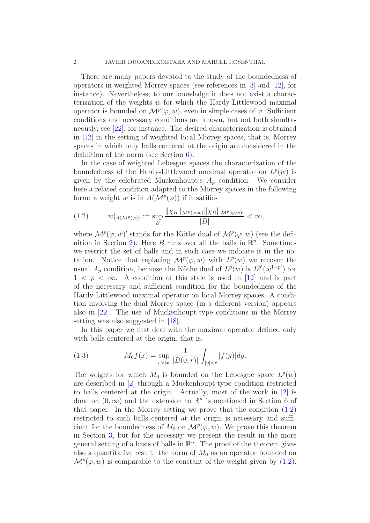There are many papers devoted to the study of the boundedness of operators in weighted Morrey spaces (see references in [\[3\]](#page-29-1) and [\[12\]](#page-30-4), for instance). Nevertheless, to our knowledge it does not exist a characterization of the weights w for which the Hardy-Littlewood maximal operator is bounded on  $\mathcal{M}^p(\varphi, w)$ , even in simple cases of  $\varphi$ . Sufficient conditions and necessary conditions are known, but not both simultaneously, see [\[22\]](#page-30-5), for instance. The desired characterization is obtained in [\[12\]](#page-30-4) in the setting of weighted local Morrey spaces, that is, Morrey spaces in which only balls centered at the origin are considered in the definition of the norm (see Section [6\)](#page-13-0).

In the case of weighted Lebesgue spaces the characterization of the boundedness of the Hardy-Littlewood maximal operator on  $L^p(w)$  is given by the celebrated Muckenhoupt's  $A_p$  condition. We consider here a related condition adapted to the Morrey spaces in the following form: a weight w is in  $A(\mathcal{M}^p(\varphi))$  if it satifies

<span id="page-1-0"></span>
$$
(1.2) \t [w]_{A(\mathcal{M}^p(\varphi))} := \sup_{B} \frac{\|\chi_B\|_{\mathcal{M}^p(\varphi,w)}\|\chi_B\|_{\mathcal{M}^p(\varphi,w)}}{|B|} < \infty,
$$

where  $\mathcal{M}^p(\varphi, w)'$  stands for the Köthe dual of  $\mathcal{M}^p(\varphi, w)$  (see the defi-nition in Section [2\)](#page-3-0). Here B runs over all the balls in  $\mathbb{R}^n$ . Sometimes we restrict the set of balls and in such case we indicate it in the notation. Notice that replacing  $\mathcal{M}^p(\varphi, w)$  with  $L^p(w)$  we recover the usual  $A_p$  condition, because the Köthe dual of  $L^p(w)$  is  $L^{p'}(w^{1-p'})$  for  $1 \leq p \leq \infty$ . A condition of this style is used in [\[12\]](#page-30-4) and is part of the necessary and sufficient condition for the boundedness of the Hardy-Littlewood maximal operator on local Morrey spaces. A condition involving the dual Morrey space (in a different version) appears also in [\[22\]](#page-30-5). The use of Muckenhoupt-type conditions in the Morrey setting was also suggested in [\[18\]](#page-30-6).

In this paper we first deal with the maximal operator defined only with balls centered at the origin, that is,

<span id="page-1-1"></span>(1.3) 
$$
M_0 f(x) = \sup_{r>|x|} \frac{1}{|B(0,r)|} \int_{|y|
$$

The weights for which  $M_0$  is bounded on the Lebesgue space  $L^p(w)$ are described in [\[2\]](#page-29-2) through a Muckenhoupt-type condition restricted to balls centered at the origin. Actually, most of the work in [\[2\]](#page-29-2) is done on  $(0, \infty)$  and the extension to  $\mathbb{R}^n$  is mentioned in Section 6 of that paper. In the Morrey setting we prove that the condition  $(1.2)$ restricted to such balls centered at the origin is necessary and sufficient for the boundedness of  $M_0$  on  $\mathcal{M}^p(\varphi, w)$ . We prove this theorem in Section [3,](#page-7-0) but for the necessity we present the result in the more general setting of a basis of balls in  $\mathbb{R}^n$ . The proof of the theorem gives also a quantitative result: the norm of  $M_0$  as an operator bounded on  $\mathcal{M}^p(\varphi, w)$  is comparable to the constant of the weight given by [\(1.2\)](#page-1-0).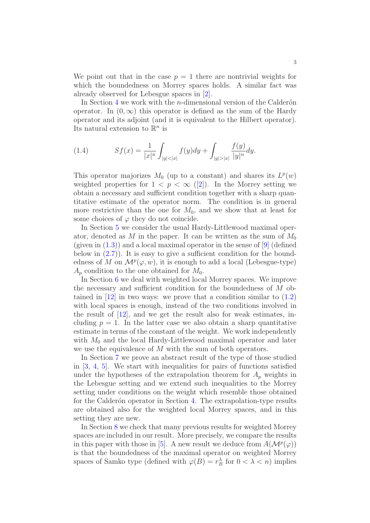We point out that in the case  $p = 1$  there are nontrivial weights for which the boundedness on Morrey spaces holds. A similar fact was already observed for Lebesgue spaces in [\[2\]](#page-29-2).

In Section [4](#page-9-0) we work with the *n*-dimensional version of the Calder $\acute{\text{o}}$ n operator. In  $(0, \infty)$  this operator is defined as the sum of the Hardy operator and its adjoint (and it is equivalent to the Hilbert operator). Its natural extension to  $\mathbb{R}^n$  is

<span id="page-2-0"></span>(1.4) 
$$
Sf(x) = \frac{1}{|x|^n} \int_{|y| < |x|} f(y) dy + \int_{|y| > |x|} \frac{f(y)}{|y|^n} dy.
$$

This operator majorizes  $M_0$  (up to a constant) and shares its  $L^p(w)$ weighted properties for  $1 < p < \infty$  ([\[2\]](#page-29-2)). In the Morrey setting we obtain a necessary and sufficient condition together with a sharp quantitative estimate of the operator norm. The condition is in general more restrictive than the one for  $M_0$ , and we show that at least for some choices of  $\varphi$  they do not coincide.

In Section [5](#page-12-0) we consider the usual Hardy-Littlewood maximal operator, denoted as M in the paper. It can be written as the sum of  $M_0$ (given in  $(1.3)$ ) and a local maximal operator in the sense of [\[9\]](#page-30-7) (defined below in  $(2.7)$ ). It is easy to give a sufficient condition for the boundedness of M on  $\mathcal{M}^p(\varphi, w)$ , it is enough to add a local (Lebesgue-type)  $A_n$  condition to the one obtained for  $M_0$ .

In Section [6](#page-13-0) we deal with weighted local Morrey spaces. We improve the necessary and sufficient condition for the boundedness of M obtained in  $[12]$  in two ways: we prove that a condition similar to  $(1.2)$ with local spaces is enough, instead of the two conditions involved in the result of  $[12]$ , and we get the result also for weak estimates, including  $p = 1$ . In the latter case we also obtain a sharp quantitative estimate in terms of the constant of the weight. We work independently with  $M_0$  and the local Hardy-Littlewood maximal operator and later we use the equivalence of M with the sum of both operators.

In Section [7](#page-17-0) we prove an abstract result of the type of those studied in [\[3,](#page-29-1) [4,](#page-29-3) [5\]](#page-29-0). We start with inequalities for pairs of functions satisfied under the hypotheses of the extrapolation theorem for  $A_p$  weights in the Lebesgue setting and we extend such inequalities to the Morrey setting under conditions on the weight which resemble those obtained for the Calderón operator in Section [4.](#page-9-0) The extrapolation-type results are obtained also for the weighted local Morrey spaces, and in this setting they are new.

In Section [8](#page-21-0) we check that many previous results for weighted Morrey spaces are included in our result. More precisely, we compare the results in this paper with those in [\[5\]](#page-29-0). A new result we deduce from  $A(\mathcal{M}^p(\varphi))$ is that the boundedness of the maximal operator on weighted Morrey spaces of Samko type (defined with  $\varphi(B) = r_B^{\lambda}$  for  $0 < \lambda < n$ ) implies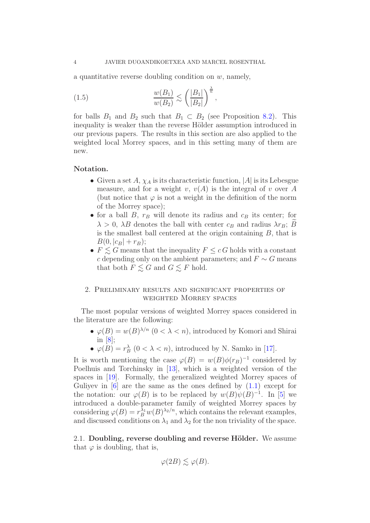a quantitative reverse doubling condition on  $w$ , namely,

<span id="page-3-1"></span>(1.5) 
$$
\frac{w(B_1)}{w(B_2)} \lesssim \left(\frac{|B_1|}{|B_2|}\right)^{\frac{\lambda}{n}},
$$

for balls  $B_1$  and  $B_2$  such that  $B_1 \subset B_2$  (see Proposition [8.2\)](#page-22-0). This inequality is weaker than the reverse Hölder assumption introduced in our previous papers. The results in this section are also applied to the weighted local Morrey spaces, and in this setting many of them are new.

### Notation.

- Given a set  $A$ ,  $\chi_A$  is its characteristic function, |A| is its Lebesgue measure, and for a weight v,  $v(A)$  is the integral of v over A (but notice that  $\varphi$  is not a weight in the definition of the norm of the Morrey space);
- for a ball  $B$ ,  $r_B$  will denote its radius and  $c_B$  its center; for  $\lambda > 0$ ,  $\lambda B$  denotes the ball with center  $c_B$  and radius  $\lambda r_B$ ; B is the smallest ball centered at the origin containing B, that is  $B(0, |c_B| + r_B);$
- $\bullet\ F\lesssim G$  means that the inequality  $F\leq c\,G$  holds with a constant c depending only on the ambient parameters; and  $F \sim G$  means that both  $F \leq G$  and  $G \leq F$  hold.

## <span id="page-3-0"></span>2. Preliminary results and significant properties of weighted Morrey spaces

The most popular versions of weighted Morrey spaces considered in the literature are the following:

- $\varphi(B) = w(B)^{\lambda/n}$   $(0 < \lambda < n)$ , introduced by Komori and Shirai in [\[8\]](#page-30-2);
- $\varphi(B) = r_B^{\lambda}$   $(0 < \lambda < n)$ , introduced by N. Samko in [\[17\]](#page-30-1).

It is worth mentioning the case  $\varphi(B) = w(B)\phi(r_B)^{-1}$  considered by Poelhuis and Torchinsky in [\[13\]](#page-30-3), which is a weighted version of the spaces in [\[19\]](#page-30-8). Formally, the generalized weighted Morrey spaces of Guliyev in  $[6]$  are the same as the ones defined by  $(1.1)$  except for the notation: our  $\varphi(B)$  is to be replaced by  $w(B)\psi(B)^{-1}$ . In [\[5\]](#page-29-0) we introduced a double-parameter family of weighted Morrey spaces by considering  $\varphi(B) = r_B^{\lambda_1} w(B)^{\lambda_2/n}$ , which contains the relevant examples, and discussed conditions on  $\lambda_1$  and  $\lambda_2$  for the non triviality of the space.

2.1. Doubling, reverse doubling and reverse Hölder. We assume that  $\varphi$  is doubling, that is,

$$
\varphi(2B) \lesssim \varphi(B).
$$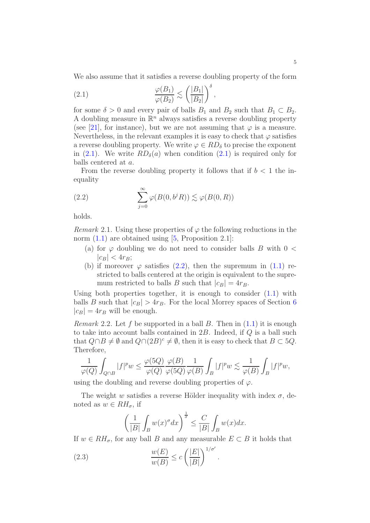We also assume that it satisfies a reverse doubling property of the form

<span id="page-4-0"></span>,

(2.1) 
$$
\frac{\varphi(B_1)}{\varphi(B_2)} \lesssim \left(\frac{|B_1|}{|B_2|}\right)^{\delta}
$$

for some  $\delta > 0$  and every pair of balls  $B_1$  and  $B_2$  such that  $B_1 \subset B_2$ . A doubling measure in  $\mathbb{R}^n$  always satisfies a reverse doubling property (see [\[21\]](#page-30-9), for instance), but we are not assuming that  $\varphi$  is a measure. Nevertheless, in the relevant examples it is easy to check that  $\varphi$  satisfies a reverse doubling property. We write  $\varphi \in RD_{\delta}$  to precise the exponent in [\(2.1\)](#page-4-0). We write  $RD_{\delta}(a)$  when condition (2.1) is required only for balls centered at a.

From the reverse doubling property it follows that if  $b < 1$  the inequality

<span id="page-4-1"></span>(2.2) 
$$
\sum_{j=0}^{\infty} \varphi(B(0, b^{j} R)) \lesssim \varphi(B(0, R))
$$

holds.

<span id="page-4-2"></span>*Remark* 2.1. Using these properties of  $\varphi$  the following reductions in the norm  $(1.1)$  are obtained using  $[5,$  Proposition 2.1]:

- (a) for  $\varphi$  doubling we do not need to consider balls B with  $0 <$  $|c_B| < 4r_B;$
- (b) if moreover  $\varphi$  satisfies [\(2.2\)](#page-4-1), then the supremum in [\(1.1\)](#page-0-0) restricted to balls centered at the origin is equivalent to the supremum restricted to balls B such that  $|c_B| = 4r_B$ .

Using both properties together, it is enough to consider  $(1.1)$  with balls B such that  $|c_B| > 4r_B$ . For the local Morrey spaces of Section [6](#page-13-0)  $|c_B| = 4r_B$  will be enough.

<span id="page-4-4"></span>*Remark* 2.2. Let f be supported in a ball B. Then in  $(1.1)$  it is enough to take into account balls contained in  $2B$ . Indeed, if  $Q$  is a ball such that  $Q \cap B \neq \emptyset$  and  $Q \cap (2B)^c \neq \emptyset$ , then it is easy to check that  $B \subset 5Q$ . Therefore,

$$
\frac{1}{\varphi(Q)}\int_{Q\cap B}|f|^pw\leq \frac{\varphi(5Q)}{\varphi(Q)}\frac{\varphi(B)}{\varphi(5Q)}\frac{1}{\varphi(B)}\int_B|f|^pw\lesssim \frac{1}{\varphi(B)}\int_B|f|^pw,
$$

using the doubling and reverse doubling properties of  $\varphi$ .

The weight w satisfies a reverse Hölder inequality with index  $\sigma$ , denoted as  $w \in RH_{\sigma}$ , if

<span id="page-4-3"></span>
$$
\left(\frac{1}{|B|}\int_B w(x)^{\sigma} dx\right)^{\frac{1}{\sigma}} \le \frac{C}{|B|}\int_B w(x) dx.
$$

If  $w \in RH_{\sigma}$ , for any ball B and any measurable  $E \subset B$  it holds that

.

(2.3) 
$$
\frac{w(E)}{w(B)} \le c \left(\frac{|E|}{|B|}\right)^{1/\sigma'}
$$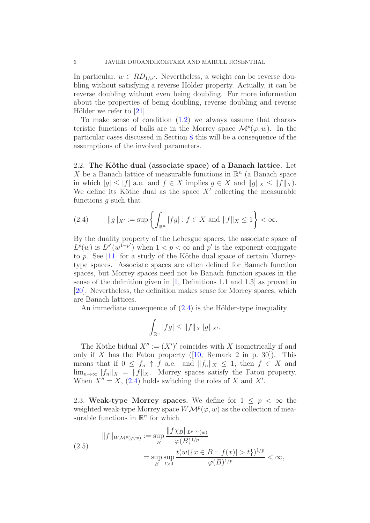In particular,  $w \in RD_{1/\sigma'}$ . Nevertheless, a weight can be reverse doubling without satisfying a reverse Hölder property. Actually, it can be reverse doubling without even being doubling. For more information about the properties of being doubling, reverse doubling and reverse Hölder we refer to  $[21]$ .

To make sense of condition  $(1.2)$  we always assume that characteristic functions of balls are in the Morrey space  $\mathcal{M}^p(\varphi, w)$ . In the particular cases discussed in Section [8](#page-21-0) this will be a consequence of the assumptions of the involved parameters.

<span id="page-5-2"></span>2.2. The Köthe dual (associate space) of a Banach lattice. Let X be a Banach lattice of measurable functions in  $\mathbb{R}^n$  (a Banach space in which  $|q| \leq |f|$  a.e. and  $f \in X$  implies  $q \in X$  and  $||q||_X \leq ||f||_X$ . We define its Köthe dual as the space  $X'$  collecting the measurable functions g such that

<span id="page-5-0"></span>(2.4) 
$$
||g||_{X'} := \sup \left\{ \int_{\mathbb{R}^n} |fg| : f \in X \text{ and } ||f||_X \le 1 \right\} < \infty.
$$

By the duality property of the Lebesgue spaces, the associate space of  $L^p(w)$  is  $L^{p'}(w^{1-p'})$  when  $1 < p < \infty$  and p' is the exponent conjugate to p. See [\[11\]](#page-30-10) for a study of the Köthe dual space of certain Morreytype spaces. Associate spaces are often defined for Banach function spaces, but Morrey spaces need not be Banach function spaces in the sense of the definition given in [\[1,](#page-29-4) Definitions 1.1 and 1.3] as proved in [\[20\]](#page-30-11). Nevertheless, the definition makes sense for Morrey spaces, which are Banach lattices.

An immediate consequence of  $(2.4)$  is the Hölder-type inequality

$$
\int_{\mathbb{R}^n} |fg| \le ||f||_X ||g||_{X'}.
$$

The Köthe bidual  $X'' := (X')'$  coincides with X isometrically if and only if X has the Fatou property  $([10, \text{ Remark 2 in p. } 30])$  $([10, \text{ Remark 2 in p. } 30])$  $([10, \text{ Remark 2 in p. } 30])$ . This means that if  $0 \leq f_n \uparrow f$  a.e. and  $||f_n||_X \leq 1$ , then  $f \in X$  and  $\lim_{n\to\infty} ||f_n||_X = ||f||_X$ . Morrey spaces satisfy the Fatou property. When  $X'' = X$ , [\(2.4\)](#page-5-0) holds switching the roles of X and X'.

<span id="page-5-1"></span>2.3. Weak-type Morrey spaces. We define for  $1 \leq p \leq \infty$  the weighted weak-type Morrey space  $W\mathcal{M}^p(\varphi,w)$  as the collection of measurable functions in  $\mathbb{R}^n$  for which

$$
||f||_{WM^{p}(\varphi,w)} := \sup_{B} \frac{||f\chi_{B}||_{L^{p,\infty}(w)}}{\varphi(B)^{1/p}} = \sup_{B} \sup_{t>0} \frac{t(w(\{x \in B : |f(x)| > t\})^{1/p}}{\varphi(B)^{1/p}} < \infty,
$$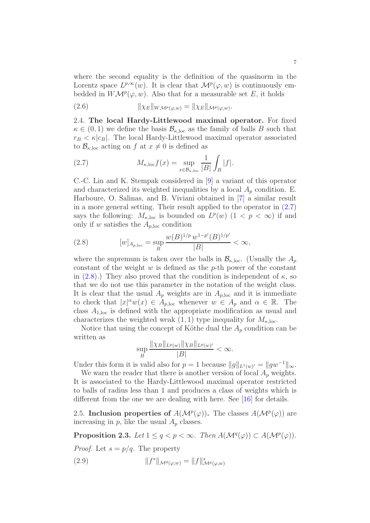where the second equality is the definition of the quasinorm in the Lorentz space  $L^{p,\infty}(w)$ . It is clear that  $\mathcal{M}^p(\varphi,w)$  is continuously embedded in  $W\mathcal{M}^p(\varphi,w)$ . Also that for a measurable set E, it holds

<span id="page-6-3"></span>(2.6) 
$$
\|\chi_E\|_{W\mathcal{M}^p(\varphi,w)} = \|\chi_E\|_{\mathcal{M}^p(\varphi,w)}.
$$

2.4. The local Hardy-Littlewood maximal operator. For fixed  $\kappa \in (0,1)$  we define the basis  $\mathcal{B}_{\kappa,\text{loc}}$  as the family of balls B such that  $r_B < \kappa |c_B|$ . The local Hardy-Littlewood maximal operator associated to  $\mathcal{B}_{\kappa,\text{loc}}$  acting on f at  $x \neq 0$  is defined as

<span id="page-6-0"></span>(2.7) 
$$
M_{\kappa,\text{loc}}f(x) = \sup_{x \in \mathcal{B}_{\kappa,\text{loc}}} \frac{1}{|B|} \int_B |f|.
$$

C.-C. Lin and K. Stempak considered in [\[9\]](#page-30-7) a variant of this operator and characterized its weighted inequalities by a local  $A_p$  condition. E. Harboure, O. Salinas, and B. Viviani obtained in [\[7\]](#page-30-13) a similar result in a more general setting. Their result applied to the operator in [\(2.7\)](#page-6-0) says the following:  $M_{\kappa,\text{loc}}$  is bounded on  $L^p(w)$   $(1 < p < \infty)$  if and only if w satisfies the  $A_{p,loc}$  condition

<span id="page-6-1"></span>(2.8) 
$$
[w]_{A_{p,\text{loc}}} = \sup_{B} \frac{w(B)^{1/p} w^{1-p}(B)^{1/p}}{|B|} < \infty,
$$

where the supremum is taken over the balls in  $\mathcal{B}_{\kappa,loc}$ . (Usually the  $A_p$ constant of the weight  $w$  is defined as the  $p$ -th power of the constant in [\(2.8\)](#page-6-1).) They also proved that the condition is independent of  $\kappa$ , so that we do not use this parameter in the notation of the weight class. It is clear that the usual  $A_p$  weights are in  $A_{p,loc}$  and it is immediate to check that  $|x|^{\alpha}w(x) \in A_{p,\text{loc}}$  whenever  $w \in A_p$  and  $\alpha \in \mathbb{R}$ . The class  $A_{1,\text{loc}}$  is defined with the appropriate modification as usual and characterizes the weighted weak  $(1, 1)$  type inequality for  $M_{\kappa, \text{loc}}$ .

Notice that using the concept of Köthe dual the  $A_p$  condition can be written as

$$
\sup_{B} \frac{\|\chi_B\|_{L^p(w)} \|\chi_B\|_{L^p(w)'} }{|B|} < \infty.
$$

Under this form it is valid also for  $p = 1$  because  $||g||_{L^1(w)'} = ||gw^{-1}||_{\infty}$ .

We warn the reader that there is another version of local  $A_p$  weights. It is associated to the Hardy-Littlewood maximal operator restricted to balls of radius less than 1 and produces a class of weights which is different from the one we are dealing with here. See [\[16\]](#page-30-14) for details.

2.5. Inclusion properties of  $A(\mathcal{M}^p(\varphi))$ . The classes  $A(\mathcal{M}^p(\varphi))$  are increasing in  $p$ , like the usual  $A_p$  classes.

**Proposition 2.3.** Let  $1 \leq q < p < \infty$ . Then  $A(\mathcal{M}^q(\varphi)) \subset A(\mathcal{M}^p(\varphi))$ .

*Proof.* Let  $s = p/q$ . The property

<span id="page-6-2"></span>(2.9) 
$$
||f^s||_{\mathcal{M}^q(\varphi,w)} = ||f||^s_{\mathcal{M}^p(\varphi,w)}
$$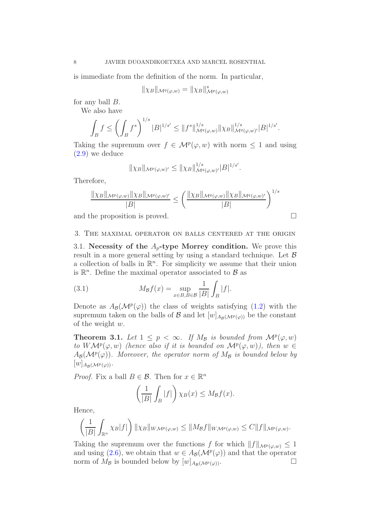is immediate from the definition of the norm. In particular,

$$
\|\chi_B\|_{\mathcal{M}^q(\varphi,w)}=\|\chi_B\|_{\mathcal{M}^p(\varphi,w)}^s
$$

for any ball  $B$ .

We also have

$$
\int_B f \le \left(\int_B f^s\right)^{1/s} |B|^{1/s'} \le \|f^s\|_{\mathcal{M}^q(\varphi,w)}^{1/s} \|\chi_B\|_{\mathcal{M}^q(\varphi,w)'}^{1/s'}|B|^{1/s'}.
$$

Taking the supremum over  $f \in \mathcal{M}^p(\varphi, w)$  with norm  $\leq 1$  and using [\(2.9\)](#page-6-2) we deduce

$$
\|\chi_B\|_{\mathcal{M}^p(\varphi,w)'} \le \|\chi_B\|_{\mathcal{M}^q(\varphi,w)'}^{1/s} |B|^{1/s'}.
$$

Therefore,

$$
\frac{\|\chi_B\|_{\mathcal{M}^p(\varphi,w)}\|\chi_B\|_{\mathcal{M}^p(\varphi,w)'}}{|B|} \le \left(\frac{\|\chi_B\|_{\mathcal{M}^q(\varphi,w)}\|\chi_B\|_{\mathcal{M}^q(\varphi,w)'}}{|B|}\right)^{1/s}
$$
  
and the proposition is proved.

<span id="page-7-0"></span>

## 3. The maximal operator on balls centered at the origin

3.1. Necessity of the  $A_p$ -type Morrey condition. We prove this result in a more general setting by using a standard technique. Let  $\beta$ a collection of balls in  $\mathbb{R}^n$ . For simplicity we assume that their union is  $\mathbb{R}^n$ . Define the maximal operator associated to  $\mathcal{B}$  as

(3.1) 
$$
M_{\mathcal{B}}f(x) = \sup_{x \in B, B \in \mathcal{B}} \frac{1}{|B|} \int_{B} |f|.
$$

Denote as  $A_{\mathcal{B}}(\mathcal{M}^p(\varphi))$  the class of weights satisfying [\(1.2\)](#page-1-0) with the supremum taken on the balls of  $\mathcal{B}$  and let  $[w]_{A_{\mathcal{B}}(\mathcal{M}^p(\varphi))}$  be the constant of the weight w.

<span id="page-7-1"></span>**Theorem 3.1.** Let  $1 \leq p < \infty$ . If  $M_{\mathcal{B}}$  is bounded from  $\mathcal{M}^p(\varphi, w)$ to  $W\mathcal{M}^p(\varphi,w)$  (hence also if it is bounded on  $\mathcal{M}^p(\varphi,w)$ ), then  $w \in$  $A_{\mathcal{B}}(\mathcal{M}^p(\varphi))$ . Moreover, the operator norm of  $M_{\mathcal{B}}$  is bounded below by  $[w]_{A_{\mathcal{B}}(\mathcal{M}^p(\varphi))}.$ 

*Proof.* Fix a ball  $B \in \mathcal{B}$ . Then for  $x \in \mathbb{R}^n$ 

$$
\left(\frac{1}{|B|}\int_B|f|\right)\chi_B(x)\leq M_{\mathcal{B}}f(x).
$$

Hence,

$$
\left(\frac{1}{|B|}\int_{\mathbb{R}^n} \chi_B|f|\right) \|\chi_B\|_{WM^p(\varphi,w)} \le \|M_{\mathcal{B}}f\|_{WM^p(\varphi,w)} \le C\|f\|_{M^p(\varphi,w)}.
$$

Taking the supremum over the functions f for which  $||f||_{\mathcal{M}^p(\varphi,w)} \leq 1$ and using [\(2.6\)](#page-6-3), we obtain that  $w \in A_{\mathcal{B}}(\mathcal{M}^p(\varphi))$  and that the operator norm of  $M_{\mathcal{B}}$  is bounded below by  $[w]_{A_{\mathcal{B}}(\mathcal{M}^p(\varphi))}$ .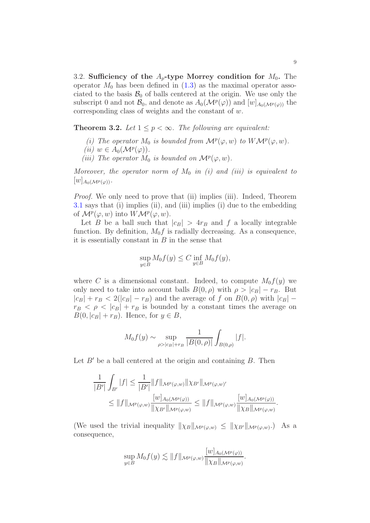3.2. Sufficiency of the  $A_p$ -type Morrey condition for  $M_0$ . The operator  $M_0$  has been defined in  $(1.3)$  as the maximal operator associated to the basis  $\mathcal{B}_0$  of balls centered at the origin. We use only the subscript 0 and not  $\mathcal{B}_0$ , and denote as  $A_0(\mathcal{M}^p(\varphi))$  and  $[w]_{A_0(\mathcal{M}^p(\varphi))}$  the corresponding class of weights and the constant of w.

<span id="page-8-0"></span>**Theorem 3.2.** Let  $1 \leq p < \infty$ . The following are equivalent:

(i) The operator  $M_0$  is bounded from  $\mathcal{M}^p(\varphi, w)$  to  $W\mathcal{M}^p(\varphi, w)$ .

$$
(ii) w \in A_0(\mathcal{M}^p(\varphi)).
$$

(iii) The operator  $M_0$  is bounded on  $\mathcal{M}^p(\varphi, w)$ .

Moreover, the operator norm of  $M_0$  in (i) and (iii) is equivalent to  $[w]_{A_0(\mathcal M^{p}(\varphi))}.$ 

Proof. We only need to prove that (ii) implies (iii). Indeed, Theorem [3.1](#page-7-1) says that (i) implies (ii), and (iii) implies (i) due to the embedding of  $\mathcal{M}^p(\varphi, w)$  into  $W\mathcal{M}^p(\varphi, w)$ .

Let B be a ball such that  $|c_B| > 4r_B$  and f a locally integrable function. By definition,  $M_0 f$  is radially decreasing. As a consequence, it is essentially constant in  $B$  in the sense that

$$
\sup_{y \in B} M_0 f(y) \le C \inf_{y \in B} M_0 f(y),
$$

where C is a dimensional constant. Indeed, to compute  $M_0f(y)$  we only need to take into account balls  $B(0, \rho)$  with  $\rho > |c_B| - r_B$ . But  $|c_B| + r_B < 2(|c_B| - r_B)$  and the average of f on  $B(0, \rho)$  with  $|c_B|$  –  $r_B < \rho < |c_B| + r_B$  is bounded by a constant times the average on  $B(0, |c_B| + r_B)$ . Hence, for  $y \in B$ ,

$$
M_0 f(y) \sim \sup_{\rho > |c_B| + r_B} \frac{1}{|B(0, \rho)|} \int_{B(0, \rho)} |f|.
$$

Let  $B'$  be a ball centered at the origin and containing  $B$ . Then

$$
\frac{1}{|B'|}\int_{B'}|f| \leq \frac{1}{|B'|}\|f\|_{\mathcal{M}^{p}(\varphi,w)}\|\chi_{B'}\|_{\mathcal{M}^{p}(\varphi,w)'}
$$
  

$$
\leq \|f\|_{\mathcal{M}^{p}(\varphi,w)}\frac{[w]_{A_{0}(\mathcal{M}^{p}(\varphi))}}{\|\chi_{B'}\|_{\mathcal{M}^{p}(\varphi,w)}} \leq \|f\|_{\mathcal{M}^{p}(\varphi,w)}\frac{[w]_{A_{0}(\mathcal{M}^{p}(\varphi))}}{\|\chi_{B}\|_{\mathcal{M}^{p}(\varphi,w)}}
$$

(We used the trivial inequality  $\|\chi_B\|_{\mathcal{M}^p(\varphi,w)} \leq \|\chi_{B'}\|_{\mathcal{M}^p(\varphi,w)}$ .) As a consequence,

$$
\sup_{y\in B} M_0 f(y) \lesssim \|f\|_{\mathcal{M}^p(\varphi,w)} \frac{[w]_{A_0(\mathcal{M}^p(\varphi))}}{\| \chi_B \|_{\mathcal{M}^p(\varphi,w)}}.
$$

.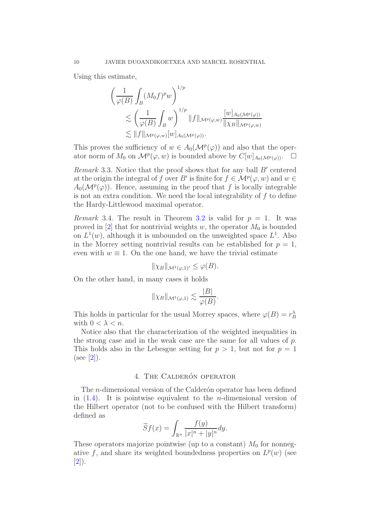Using this estimate,

$$
\left(\frac{1}{\varphi(B)} \int_B (M_0 f)^p w\right)^{1/p}
$$
  
\$\lesssim \left(\frac{1}{\varphi(B)} \int\_B w\right)^{1/p} ||f||\_{\mathcal{M}^p(\varphi, w)} \frac{[w]\_{A\_0(\mathcal{M}^p(\varphi))}}{||\chi\_B||\_{\mathcal{M}^p(\varphi, w)}}\$  
\$\lesssim ||f||\_{\mathcal{M}^p(\varphi, w)} [w]\_{A\_0(\mathcal{M}^p(\varphi))}\$.

This proves the sufficiency of  $w \in A_0(\mathcal{M}^p(\varphi))$  and also that the operator norm of  $M_0$  on  $\mathcal{M}^p(\varphi, w)$  is bounded above by  $C[w]_{A_0(\mathcal{M}^p(\varphi))}$ .  $\Box$ 

Remark 3.3. Notice that the proof shows that for any ball  $B'$  centered at the origin the integral of f over B' is finite for  $f \in \mathcal{M}^p(\varphi, w)$  and  $w \in$  $A_0(\mathcal{M}^p(\varphi))$ . Hence, assuming in the proof that f is locally integrable is not an extra condition. We need the local integrability of  $f$  to define the Hardy-Littlewood maximal operator.

Remark 3.4. The result in Theorem [3.2](#page-8-0) is valid for  $p = 1$ . It was proved in [\[2\]](#page-29-2) that for nontrivial weights w, the operator  $M_0$  is bounded on  $L^1(w)$ , although it is unbounded on the unweighted space  $L^1$ . Also in the Morrey setting nontrivial results can be established for  $p = 1$ , even with  $w \equiv 1$ . On the one hand, we have the trivial estimate

$$
\|\chi_B\|_{\mathcal{M}^1(\varphi,1)'} \leq \varphi(B).
$$

On the other hand, in many cases it holds

$$
\|\chi_B\|_{\mathcal{M}^1(\varphi,1)} \lesssim \frac{|B|}{\varphi(B)}.
$$

This holds in particular for the usual Morrey spaces, where  $\varphi(B) = r_B^{\lambda}$ with  $0 < \lambda < n$ .

Notice also that the characterization of the weighted inequalities in the strong case and in the weak case are the same for all values of p. This holds also in the Lebesgue setting for  $p > 1$ , but not for  $p = 1$  $(see [2]).$  $(see [2]).$  $(see [2]).$ 

### 4. THE CALDERÓN OPERATOR

<span id="page-9-0"></span>The *n*-dimensional version of the Calder $\acute{\text{o}}$ n operator has been defined in  $(1.4)$ . It is pointwise equivalent to the *n*-dimensional version of the Hilbert operator (not to be confused with the Hilbert transform) defined as

$$
\widetilde{S}f(x) = \int_{\mathbb{R}^n} \frac{f(y)}{|x|^n + |y|^n} dy.
$$

These operators majorize pointwise (up to a constant)  $M_0$  for nonnegative f, and share its weighted boundedness properties on  $L^p(w)$  (see [\[2\]](#page-29-2)).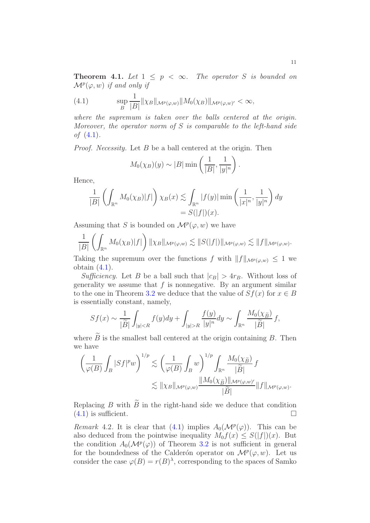<span id="page-10-1"></span>**Theorem 4.1.** Let  $1 \leq p \leq \infty$ . The operator S is bounded on  $\mathcal{M}^p(\varphi, w)$  if and only if

<span id="page-10-0"></span>(4.1) 
$$
\sup_{B} \frac{1}{|B|} \|\chi_B\|_{\mathcal{M}^p(\varphi,w)} \|M_0(\chi_B)\|_{\mathcal{M}^p(\varphi,w)'} < \infty,
$$

where the supremum is taken over the balls centered at the origin. Moreover, the operator norm of  $S$  is comparable to the left-hand side of  $(4.1)$ .

Proof. Necessity. Let B be a ball centered at the origin. Then

$$
M_0(\chi_B)(y) \sim |B| \min\left(\frac{1}{|B|}, \frac{1}{|y|^n}\right).
$$

Hence,

$$
\frac{1}{|B|} \left( \int_{\mathbb{R}^n} M_0(\chi_B) |f| \right) \chi_B(x) \lesssim \int_{\mathbb{R}^n} |f(y)| \min \left( \frac{1}{|x|^n}, \frac{1}{|y|^n} \right) dy
$$
  
= S(|f|)(x).

Assuming that S is bounded on  $\mathcal{M}^p(\varphi,w)$  we have

$$
\frac{1}{|B|}\left(\int_{\mathbb{R}^n}M_0(\chi_B)|f|\right)\|\chi_B\|_{\mathcal{M}^p(\varphi,w)}\lesssim \|S(|f|)\|_{\mathcal{M}^p(\varphi,w)}\lesssim \|f\|_{\mathcal{M}^p(\varphi,w)}.
$$

Taking the supremum over the functions f with  $||f||_{\mathcal{M}^p(\varphi,w)} \leq 1$  we obtain [\(4.1\)](#page-10-0).

Sufficiency. Let B be a ball such that  $|c_B| > 4r_B$ . Without loss of generality we assume that  $f$  is nonnegative. By an argument similar to the one in Theorem [3.2](#page-8-0) we deduce that the value of  $Sf(x)$  for  $x \in B$ is essentially constant, namely,

$$
Sf(x) \sim \frac{1}{|\widetilde{B}|} \int_{|y|R} \frac{f(y)}{|y|^n} dy \sim \int_{\mathbb{R}^n} \frac{M_0(\chi_{\widetilde{B}})}{|\widetilde{B}|} f,
$$

where  $\widetilde{B}$  is the smallest ball centered at the origin containing B. Then we have

$$
\left(\frac{1}{\varphi(B)}\int_B |Sf|^p w\right)^{1/p} \lesssim \left(\frac{1}{\varphi(B)}\int_B w\right)^{1/p} \int_{\mathbb{R}^n} \frac{M_0(\chi_{\widetilde{B}})}{|\widetilde{B}|} f
$$
  

$$
\lesssim \|\chi_B\|_{\mathcal{M}^p(\varphi,w)} \frac{\|M_0(\chi_{\widetilde{B}})\|_{\mathcal{M}^p(\varphi,w')}}{|\widetilde{B}|} \|f\|_{\mathcal{M}^p(\varphi,w)}.
$$

Replacing B with  $\widetilde{B}$  in the right-hand side we deduce that condition (4.1) is sufficient  $(4.1)$  is sufficient.

<span id="page-10-2"></span>Remark 4.2. It is clear that [\(4.1\)](#page-10-0) implies  $A_0(\mathcal{M}^p(\varphi))$ . This can be also deduced from the pointwise inequality  $M_0f(x) \leq S(|f|)(x)$ . But the condition  $A_0(\mathcal{M}^p(\varphi))$  of Theorem [3.2](#page-8-0) is not sufficient in general for the boundedness of the Calderón operator on  $\mathcal{M}^p(\varphi, w)$ . Let us consider the case  $\varphi(B) = r(B)^{\lambda}$ , corresponding to the spaces of Samko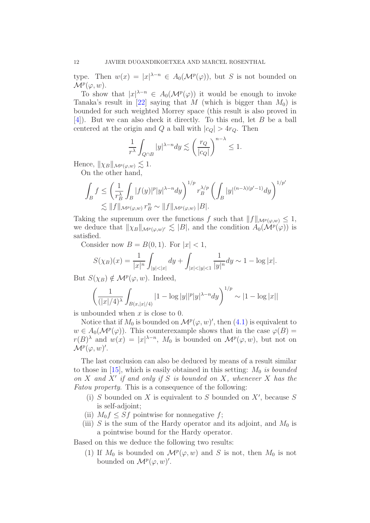type. Then  $w(x) = |x|^{\lambda - n} \in A_0(\mathcal{M}^p(\varphi))$ , but S is not bounded on  $\mathcal{M}^p(\varphi,w)$ .

To show that  $|x|^{\lambda-n} \in A_0(\mathcal{M}^p(\varphi))$  it would be enough to invoke Tanaka's result in [\[22\]](#page-30-5) saying that M (which is bigger than  $M_0$ ) is bounded for such weighted Morrey space (this result is also proved in [\[4\]](#page-29-3)). But we can also check it directly. To this end, let B be a ball centered at the origin and Q a ball with  $|c_Q| > 4r_Q$ . Then

$$
\frac{1}{r^{\lambda}}\int_{Q\cap B}|y|^{\lambda-n}dy\lesssim\left(\frac{r_Q}{|c_Q|}\right)^{n-\lambda}\le 1.
$$

Hence,  $\|\chi_B\|_{\mathcal{M}^p(\varphi,w)} \lesssim 1.$ 

On the other hand,

$$
\int_B f \le \left(\frac{1}{r_B^\lambda}\int_B |f(y)|^p |y|^{\lambda-n}dy\right)^{1/p} r_B^{\lambda/p} \left(\int_B |y|^{(n-\lambda)(p'-1)}dy\right)^{1/p'}
$$
  

$$
\lesssim \|f\|_{\mathcal M^p(\varphi,w)}\, r_B^n \sim \|f\|_{\mathcal M^p(\varphi,w)}\, |B|.
$$

Taking the supremum over the functions f such that  $||f||_{\mathcal{M}^p(\varphi,w)} \leq 1$ , we deduce that  $\|\chi_B\|_{\mathcal{M}^p(\varphi,w)'} \lesssim |B|$ , and the condition  $A_0(\mathcal{M}^p(\varphi))$  is satisfied.

Consider now  $B = B(0, 1)$ . For  $|x| < 1$ ,

$$
S(\chi_B)(x) = \frac{1}{|x|^n} \int_{|y| < |x|} dy + \int_{|x| < |y| < 1} \frac{1}{|y|^n} dy \sim 1 - \log|x|.
$$

But  $S(\chi_B) \notin \mathcal{M}^p(\varphi, w)$ . Indeed,

$$
\left(\frac{1}{(|x|/4)^{\lambda}} \int_{B(x,|x|/4)} |1 - \log |y||^p |y|^{\lambda - n} dy\right)^{1/p} \sim |1 - \log |x||
$$

is unbounded when  $x$  is close to 0.

Notice that if  $M_0$  is bounded on  $\mathcal{M}^p(\varphi, w)'$ , then  $(4.1)$  is equivalent to  $w \in A_0(\mathcal{M}^p(\varphi))$ . This counterexample shows that in the case  $\varphi(B)$  =  $r(B)^{\lambda}$  and  $w(x) = |x|^{\lambda-n}$ ,  $M_0$  is bounded on  $\mathcal{M}^p(\varphi, w)$ , but not on  $\mathcal{M}^p(\varphi,w)'.$ 

The last conclusion can also be deduced by means of a result similar to those in  $[15]$ , which is easily obtained in this setting:  $M_0$  is bounded on  $X$  and  $X'$  if and only if  $S$  is bounded on  $X$ , whenever  $X$  has the Fatou property. This is a consequence of the following:

- (i)  $S$  bounded on  $X$  is equivalent to  $S$  bounded on  $X'$ , because  $S$ is self-adjoint;
- (ii)  $M_0 f \leq S f$  pointwise for nonnegative f;
- (iii) S is the sum of the Hardy operator and its adjoint, and  $M_0$  is a pointwise bound for the Hardy operator.

Based on this we deduce the following two results:

(1) If  $M_0$  is bounded on  $\mathcal{M}^p(\varphi, w)$  and S is not, then  $M_0$  is not bounded on  $\mathcal{M}^p(\varphi,w)'.$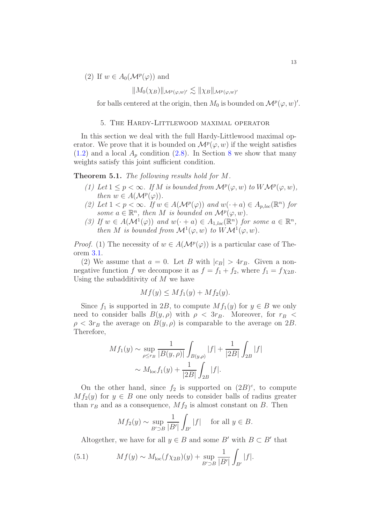(2) If  $w \in A_0(\mathcal{M}^p(\varphi))$  and

$$
||M_0(\chi_B)||_{\mathcal{M}^p(\varphi,w)'} \lesssim ||\chi_B||_{\mathcal{M}^p(\varphi,w)'}
$$

for balls centered at the origin, then  $M_0$  is bounded on  $\mathcal{M}^p(\varphi, w)'$ .

#### 5. The Hardy-Littlewood maximal operator

<span id="page-12-0"></span>In this section we deal with the full Hardy-Littlewood maximal operator. We prove that it is bounded on  $\mathcal{M}^p(\varphi, w)$  if the weight satisfies  $(1.2)$  and a local  $A_p$  condition  $(2.8)$  $(2.8)$  $(2.8)$ . In Section 8 we show that many weights satisfy this joint sufficient condition.

<span id="page-12-2"></span>Theorem 5.1. The following results hold for M.

- (1) Let  $1 \leq p < \infty$ . If M is bounded from  $\mathcal{M}^p(\varphi, w)$  to  $W\mathcal{M}^p(\varphi, w)$ , then  $w \in A(\mathcal{M}^p(\varphi))$ .
- (2) Let  $1 < p < \infty$ . If  $w \in A(\mathcal{M}^p(\varphi))$  and  $w(\cdot + a) \in A_{p,loc}(\mathbb{R}^n)$  for some  $a \in \mathbb{R}^n$ , then M is bounded on  $\mathcal{M}^p(\varphi, w)$ .
- (3) If  $w \in A(\mathcal{M}^1(\varphi))$  and  $w(\cdot + a) \in A_{1,loc}(\mathbb{R}^n)$  for some  $a \in \mathbb{R}^n$ , then M is bounded from  $\mathcal{M}^1(\varphi,w)$  to  $W\mathcal{M}^1(\varphi,w)$ .

*Proof.* (1) The necessity of  $w \in A(\mathcal{M}^p(\varphi))$  is a particular case of Theorem [3.1.](#page-7-1)

(2) We assume that  $a = 0$ . Let B with  $|c_B| > 4r_B$ . Given a nonnegative function f we decompose it as  $f = f_1 + f_2$ , where  $f_1 = f \chi_{2B}$ . Using the subadditivity of  $M$  we have

$$
Mf(y) \le Mf_1(y) + Mf_2(y).
$$

Since  $f_1$  is supported in 2B, to compute  $Mf_1(y)$  for  $y \in B$  we only need to consider balls  $B(y, \rho)$  with  $\rho < 3r_B$ . Moreover, for  $r_B <$  $\rho < 3r_B$  the average on  $B(y, \rho)$  is comparable to the average on 2B. Therefore,

$$
Mf_1(y) \sim \sup_{\rho \le r_B} \frac{1}{|B(y, \rho)|} \int_{B(y, \rho)} |f| + \frac{1}{|2B|} \int_{2B} |f|
$$
  
 
$$
\sim M_{\text{loc}} f_1(y) + \frac{1}{|2B|} \int_{2B} |f|.
$$

On the other hand, since  $f_2$  is supported on  $(2B)^c$ , to compute  $Mf_2(y)$  for  $y \in B$  one only needs to consider balls of radius greater than  $r_B$  and as a consequence,  $Mf_2$  is almost constant on B. Then

$$
Mf_2(y) \sim \sup_{B' \supset B} \frac{1}{|B'|} \int_{B'} |f| \quad \text{for all } y \in B.
$$

<span id="page-12-1"></span>Altogether, we have for all  $y \in B$  and some B' with  $B \subset B'$  that

(5.1) 
$$
Mf(y) \sim M_{\text{loc}}(f\chi_{2B})(y) + \sup_{B' \supset B} \frac{1}{|B'|} \int_{B'} |f|.
$$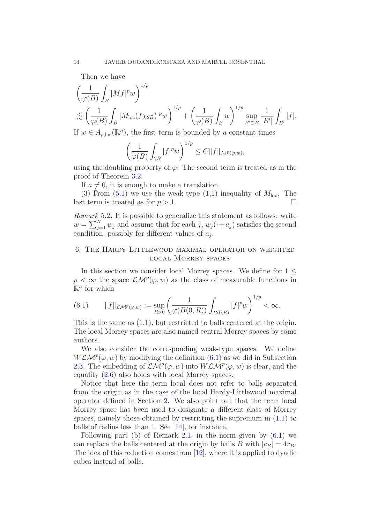Then we have

$$
\left(\frac{1}{\varphi(B)}\int_B |Mf|^p w\right)^{1/p}
$$
  
\$\lesssim \left(\frac{1}{\varphi(B)}\int\_B |M\_{\text{loc}}(f\chi\_{2B})|^p w\right)^{1/p} + \left(\frac{1}{\varphi(B)}\int\_B w\right)^{1/p} \sup\_{B'\supset B} \frac{1}{|B'|}\int\_{B'} |f|\$.

If  $w \in A_{p,loc}(\mathbb{R}^n)$ , the first term is bounded by a constant times

$$
\left(\frac{1}{\varphi(B)}\int_{2B}|f|^p w\right)^{1/p}\leq C||f||_{\mathcal{M}^p(\varphi,w)},
$$

using the doubling property of  $\varphi$ . The second term is treated as in the proof of Theorem [3.2.](#page-8-0)

If  $a \neq 0$ , it is enough to make a translation.

(3) From  $(5.1)$  we use the weak-type  $(1,1)$  inequality of  $M_{\text{loc}}$ . The last term is treated as for  $p > 1$ .

Remark 5.2. It is possible to generalize this statement as follows: write  $w = \sum_{j=1}^{N} w_j$  and assume that for each j,  $w_j(\cdot + a_j)$  satisfies the second condition, possibly for different values of  $a_j$ .

# <span id="page-13-0"></span>6. The Hardy-Littlewood maximal operator on weighted local Morrey spaces

In this section we consider local Morrey spaces. We define for  $1 \leq$  $p < \infty$  the space  $\mathcal{LM}^p(\varphi, w)$  as the class of measurable functions in  $\mathbb{R}^n$  for which

<span id="page-13-1"></span>(6.1) 
$$
||f||_{\mathcal{LM}^p(\varphi,w)} := \sup_{R>0} \left( \frac{1}{\varphi(B(0,R))} \int_{B(0,R)} |f|^p w \right)^{1/p} < \infty.
$$

This is the same as [\(1.1\)](#page-0-0), but restricted to balls centered at the origin. The local Morrey spaces are also named central Morrey spaces by some authors.

We also consider the corresponding weak-type spaces. We define  $WLM^{p}(\varphi, w)$  by modifying the definition [\(6.1\)](#page-13-1) as we did in Subsection [2.3.](#page-5-1) The embedding of  $\mathcal{LM}^p(\varphi,w)$  into  $W\mathcal{LM}^p(\varphi,w)$  is clear, and the equality [\(2.6\)](#page-6-3) also holds with local Morrey spaces.

Notice that here the term local does not refer to balls separated from the origin as in the case of the local Hardy-Littlewood maximal operator defined in Section [2.](#page-3-0) We also point out that the term local Morrey space has been used to designate a different class of Morrey spaces, namely those obtained by restricting the supremum in [\(1.1\)](#page-0-0) to balls of radius less than 1. See [\[14\]](#page-30-16), for instance.

Following part (b) of Remark [2.1,](#page-4-2) in the norm given by  $(6.1)$  we can replace the balls centered at the origin by balls B with  $|c_B| = 4r_B$ . The idea of this reduction comes from [\[12\]](#page-30-4), where it is applied to dyadic cubes instead of balls.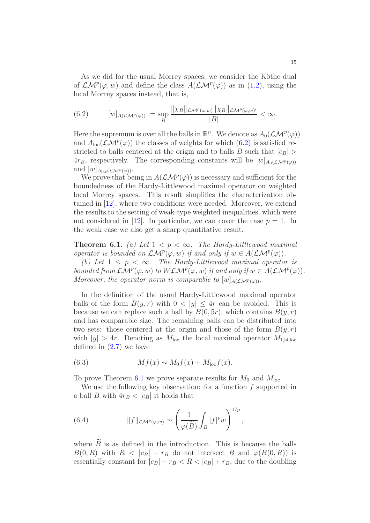As we did for the usual Morrey spaces, we consider the Köthe dual of  $\mathcal{LM}^p(\varphi, w)$  and define the class  $A(\mathcal{LM}^p(\varphi))$  as in [\(1.2\)](#page-1-0), using the local Morrey spaces instead, that is,

<span id="page-14-0"></span>(6.2) 
$$
[w]_{A(\mathcal{LM}^p(\varphi))} := \sup_{B} \frac{\|\chi_B\|_{\mathcal{LM}^p(\varphi,w)}\|\chi_B\|_{\mathcal{LM}^p(\varphi,w)}}{|B|} < \infty.
$$

Here the supremum is over all the balls in  $\mathbb{R}^n$ . We denote as  $A_0(\mathcal{LM}^p(\varphi))$ and  $A_{\text{loc}}(\mathcal{LM}^p(\varphi))$  the classes of weights for which  $(6.2)$  is satisfied restricted to balls centered at the origin and to balls B such that  $|c_B|$  $4r_B$ , respectively. The corresponding constants will be  $[w]_{A_0(\mathcal{LM}^p(\varphi))}$ and  $[w]_{A_{\text{loc}}(\mathcal{LM}^p(\varphi))}$ .

We prove that being in  $A(\mathcal{LM}^p(\varphi))$  is necessary and sufficient for the boundedness of the Hardy-Littlewood maximal operator on weighted local Morrey spaces. This result simplifies the characterization obtained in [\[12\]](#page-30-4), where two conditions were needed. Moreover, we extend the results to the setting of weak-type weighted inequalities, which were not considered in [\[12\]](#page-30-4). In particular, we can cover the case  $p = 1$ . In the weak case we also get a sharp quantitative result.

<span id="page-14-1"></span>**Theorem 6.1.** (a) Let  $1 < p < \infty$ . The Hardy-Littlewood maximal operator is bounded on  $\mathcal{LM}^p(\varphi, w)$  if and only if  $w \in A(\mathcal{LM}^p(\varphi))$ .

(b) Let  $1 \leq p \leq \infty$ . The Hardy-Littlewood maximal operator is bounded from  $\mathcal{LM}^p(\varphi, w)$  to  $W\mathcal{LM}^p(\varphi, w)$  if and only if  $w \in A(\mathcal{LM}^p(\varphi))$ . Moreover, the operator norm is comparable to  $[w]_{A(\mathcal{LM}^p(\varphi))}$ .

In the definition of the usual Hardy-Littlewood maximal operator balls of the form  $B(y, r)$  with  $0 < |y| \leq 4r$  can be avoided. This is because we can replace such a ball by  $B(0, 5r)$ , which contains  $B(y, r)$ and has comparable size. The remaining balls can be distributed into two sets: those centered at the origin and those of the form  $B(y, r)$ with  $|y| > 4r$ . Denoting as  $M_{\text{loc}}$  the local maximal operator  $M_{1/4,\text{loc}}$ defined in  $(2.7)$  we have

<span id="page-14-2"></span>(6.3) 
$$
Mf(x) \sim M_0f(x) + M_{\text{loc}}f(x).
$$

To prove Theorem [6.1](#page-14-1) we prove separate results for  $M_0$  and  $M_{loc}$ .

We use the following key observation: for a function  $f$  supported in a ball B with  $4r_B < |c_B|$  it holds that

(6.4) 
$$
||f||_{\mathcal{LM}^p(\varphi,w)} \sim \left(\frac{1}{\varphi(\widetilde{B})} \int_B |f|^p w\right)^{1/p},
$$

where  $\overline{B}$  is as defined in the introduction. This is because the balls  $B(0, R)$  with  $R < |c_B| - r_B$  do not intersect B and  $\varphi(B(0, R))$  is essentially constant for  $|c_B| - r_B < R < |c_B| + r_B$ , due to the doubling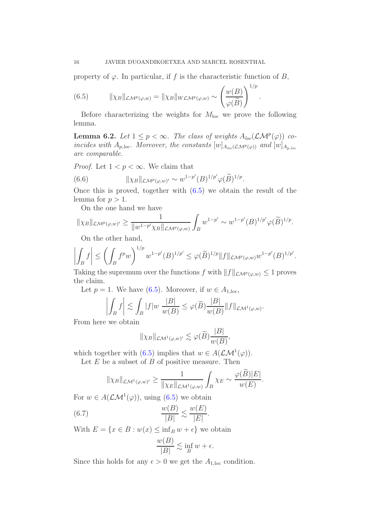property of  $\varphi$ . In particular, if f is the characteristic function of B,

<span id="page-15-0"></span>(6.5) 
$$
\|\chi_B\|_{\mathcal{LM}^p(\varphi,w)} = \|\chi_B\|_{W\mathcal{LM}^p(\varphi,w)} \sim \left(\frac{w(B)}{\varphi(\widetilde{B})}\right)^{1/p}.
$$

Before characterizing the weights for  $M_{\text{loc}}$  we prove the following lemma.

**Lemma 6.2.** Let  $1 \leq p < \infty$ . The class of weights  $A_{loc}(\mathcal{LM}^p(\varphi))$  coincides with  $A_{p,loc}$ . Moreover, the constants  $[w]_{A_{loc}(\mathcal{LM}^p(\varphi))}$  and  $[w]_{A_{p,loc}}$ are comparable.

*Proof.* Let  $1 < p < \infty$ . We claim that

(6.6) 
$$
\|\chi_B\|_{\mathcal{L}\mathcal{M}^p(\varphi,w)'} \sim w^{1-p'}(B)^{1/p'}\varphi(\widetilde{B})^{1/p}.
$$

Once this is proved, together with  $(6.5)$  we obtain the result of the lemma for  $p > 1$ .

On the one hand we have

$$
\|\chi_B\|_{\mathcal{L}\mathcal{M}^p(\varphi,w)'}\geq \frac{1}{\|w^{1-p'}\chi_B\|_{\mathcal{L}\mathcal{M}^p(\varphi,w)}}\int_B w^{1-p'}\sim w^{1-p'}(B)^{1/p'}\varphi(\widetilde{B})^{1/p}.
$$

On the other hand,

$$
\left| \int_B f \right| \leq \left( \int_B f^p w \right)^{1/p} w^{1-p'} (B)^{1/p'} \leq \varphi(\widetilde{B})^{1/p} \|f\|_{\mathcal{LM}^p(\varphi,w)} w^{1-p'} (B)^{1/p'}.
$$

Taking the supremum over the functions f with  $||f||_{\mathcal{LM}^p(\varphi,w)} \leq 1$  proves the claim.

Let  $p = 1$ . We have [\(6.5\)](#page-15-0). Moreover, if  $w \in A_{1,loc}$ ,

$$
\left| \int_B f \right| \lesssim \int_B |f| w \, \frac{|B|}{w(B)} \le \varphi(\widetilde{B}) \frac{|B|}{w(B)} \|f\|_{\mathcal{LM}^1(\varphi, w)}.
$$

From here we obtain

$$
\|\chi_B\|_{\mathcal{LM}^1(\varphi,w)'}\lesssim \varphi(\widetilde{B})\frac{|B|}{w(B)},
$$

which together with [\(6.5\)](#page-15-0) implies that  $w \in A(\mathcal{LM}^1(\varphi))$ .

Let  $E$  be a subset of  $B$  of positive measure. Then

$$
\|\chi_B\|_{\mathcal{L}\mathcal{M}^1(\varphi,w)'} \geq \frac{1}{\|\chi_E\|_{\mathcal{L}\mathcal{M}^1(\varphi,w)}} \int_B \chi_E \sim \frac{\varphi(\widetilde{B})|E|}{w(E)}.
$$

For  $w \in A(\mathcal{LM}^1(\varphi))$ , using [\(6.5\)](#page-15-0) we obtain

(6.7) 
$$
\frac{w(B)}{|B|} \lesssim \frac{w(E)}{|E|}.
$$

With  $E = \{x \in B : w(x) \leq \inf_B w + \epsilon\}$  we obtain

$$
\frac{w(B)}{|B|} \lesssim \inf_B w + \epsilon.
$$

Since this holds for any  $\epsilon > 0$  we get the  $A_{1,\text{loc}}$  condition.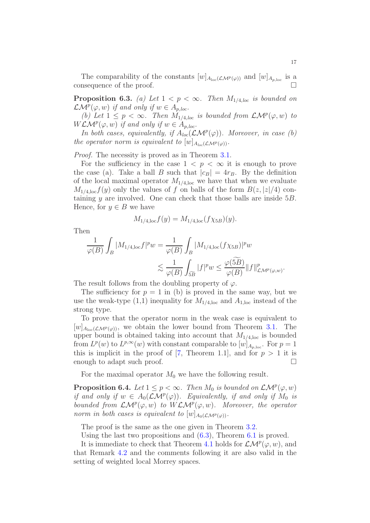The comparability of the constants  $[w]_{A_{\text{loc}}(\mathcal{LM}^p(\varphi))}$  and  $[w]_{A_{p,\text{loc}}}$  is a consequence of the proof.

**Proposition 6.3.** (a) Let  $1 < p < \infty$ . Then  $M_{1/4,loc}$  is bounded on  $\mathcal{LM}^p(\varphi, w)$  if and only if  $w \in A_{p, loc}.$ 

(b) Let  $1 \leq p < \infty$ . Then  $M_{1/4,loc}$  is bounded from  $\mathcal{LM}^p(\varphi, w)$  to  $WLM^p(\varphi, w)$  if and only if  $w \in A_{p, loc}$ .

In both cases, equivalently, if  $A_{loc}(\mathcal{LM}^p(\varphi))$ . Moreover, in case (b) the operator norm is equivalent to  $[w]_{A_{loc}(\mathcal{LM}^p(\varphi))}$ .

Proof. The necessity is proved as in Theorem [3.1.](#page-7-1)

For the sufficiency in the case  $1 < p < \infty$  it is enough to prove the case (a). Take a ball B such that  $|c_B| = 4r_B$ . By the definition of the local maximal operator  $M_{1/4,loc}$  we have that when we evaluate  $M_{1/4,\text{loc}}f(y)$  only the values of f on balls of the form  $B(z, |z|/4)$  containing  $y$  are involved. One can check that those balls are inside  $5B$ . Hence, for  $y \in B$  we have

$$
M_{1/4,\text{loc}}f(y) = M_{1/4,\text{loc}}(f\chi_{5B})(y).
$$

Then

$$
\frac{1}{\varphi(B)} \int_B |M_{1/4, \text{loc}} f|^p w = \frac{1}{\varphi(B)} \int_B |M_{1/4, \text{loc}}(f \chi_{5B})|^p w
$$
  

$$
\lesssim \frac{1}{\varphi(B)} \int_{\widetilde{bB}} |f|^p w \le \frac{\varphi(\widetilde{bB})}{\varphi(B)} ||f||^p_{\mathcal{LM}^p(\varphi, w)}.
$$

The result follows from the doubling property of  $\varphi$ .

The sufficiency for  $p = 1$  in (b) is proved in the same way, but we use the weak-type  $(1,1)$  inequality for  $M_{1/4,\text{loc}}$  and  $A_{1,\text{loc}}$  instead of the strong type.

To prove that the operator norm in the weak case is equivalent to  $[w]_{A_{\text{loc}}(\mathcal{LM}^p(\varphi))}$ , we obtain the lower bound from Theorem [3.1.](#page-7-1) The upper bound is obtained taking into account that  $M_{1/4,loc}$  is bounded from  $L^p(w)$  to  $L^{p,\infty}(w)$  with constant comparable to  $[w]_{A_{p,\text{loc}}}$ . For  $p=1$ this is implicit in the proof of [\[7,](#page-30-13) Theorem 1.1], and for  $p > 1$  it is enough to adapt such proof.

For the maximal operator  $M_0$  we have the following result.

**Proposition 6.4.** Let  $1 \leq p < \infty$ . Then  $M_0$  is bounded on  $\mathcal{LM}^p(\varphi, w)$ if and only if  $w \in A_0(\mathcal{LM}^p(\varphi))$ . Equivalently, if and only if  $M_0$  is bounded from  $\mathcal{LM}^p(\varphi, w)$  to  $W\mathcal{LM}^p(\varphi, w)$ . Moreover, the operator norm in both cases is equivalent to  $[w]_{A_0(\mathcal{LM}^p(\varphi))}$ .

The proof is the same as the one given in Theorem [3.2.](#page-8-0)

Using the last two propositions and [\(6.3\)](#page-14-2), Theorem [6.1](#page-14-1) is proved.

It is immediate to check that Theorem [4.1](#page-10-1) holds for  $\mathcal{LM}^p(\varphi, w)$ , and that Remark [4.2](#page-10-2) and the comments following it are also valid in the setting of weighted local Morrey spaces.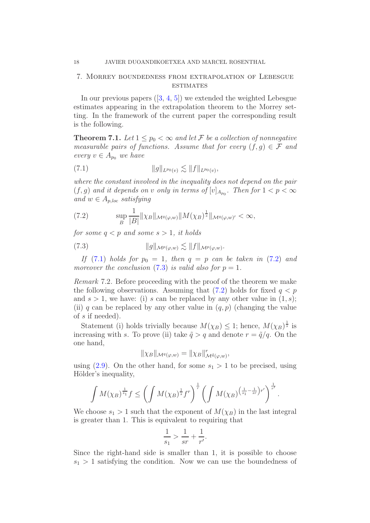## <span id="page-17-0"></span>7. Morrey boundedness from extrapolation of Lebesgue **ESTIMATES**

In our previous papers  $(3, 4, 5)$  $(3, 4, 5)$  $(3, 4, 5)$  we extended the weighted Lebesgue estimates appearing in the extrapolation theorem to the Morrey setting. In the framework of the current paper the corresponding result is the following.

<span id="page-17-4"></span>**Theorem 7.1.** Let  $1 \leq p_0 < \infty$  and let F be a collection of nonnegative measurable pairs of functions. Assume that for every  $(f, g) \in \mathcal{F}$  and every  $v \in A_{p_0}$  we have

<span id="page-17-1"></span>(7.1) 
$$
||g||_{L^{p_0}(v)} \lesssim ||f||_{L^{p_0}(v)},
$$

where the constant involved in the inequality does not depend on the pair  $(f, g)$  and it depends on v only in terms of  $[v]_{A_{p_0}}$ . Then for  $1 < p < \infty$ and  $w \in A_{p,loc}$  satisfying

<span id="page-17-2"></span>(7.2) 
$$
\sup_{B} \frac{1}{|B|} \| \chi_B \|_{\mathcal{M}^q(\varphi,w)} \| M(\chi_B)^{\frac{1}{s}} \|_{\mathcal{M}^q(\varphi,w)'} < \infty,
$$

for some  $q < p$  and some  $s > 1$ , it holds

<span id="page-17-3"></span>(7.3) 
$$
\|g\|_{\mathcal{M}^p(\varphi,w)} \lesssim \|f\|_{\mathcal{M}^p(\varphi,w)}.
$$

If [\(7.1\)](#page-17-1) holds for  $p_0 = 1$ , then  $q = p$  can be taken in [\(7.2\)](#page-17-2) and moreover the conclusion  $(7.3)$  is valid also for  $p = 1$ .

Remark 7.2. Before proceeding with the proof of the theorem we make the following observations. Assuming that  $(7.2)$  holds for fixed  $q < p$ and  $s > 1$ , we have: (i) s can be replaced by any other value in  $(1, s)$ ; (ii) q can be replaced by any other value in  $(q, p)$  (changing the value of s if needed).

Statement (i) holds trivially because  $M(\chi_B) \leq 1$ ; hence,  $M(\chi_B)^{\frac{1}{s}}$  is increasing with s. To prove (ii) take  $\tilde{q} > q$  and denote  $r = \tilde{q}/q$ . On the one hand,

$$
\|\chi_B\|_{\mathcal{M}^q(\varphi,w)}=\|\chi_B\|_{\mathcal{M}^{\tilde{q}}(\varphi,w)}^r,
$$

using  $(2.9)$ . On the other hand, for some  $s_1 > 1$  to be precised, using Hölder's inequality,

$$
\int M(\chi_B)^{\frac{1}{s_1}} f \le \left(\int M(\chi_B)^{\frac{1}{s}} f^r\right)^{\frac{1}{r}} \left(\int M(\chi_B)^{\left(\frac{1}{s_1} - \frac{1}{sr}\right)r'}\right)^{\frac{1}{r'}}
$$

.

We choose  $s_1 > 1$  such that the exponent of  $M(\chi_B)$  in the last integral is greater than 1. This is equivalent to requiring that

$$
\frac{1}{s_1} > \frac{1}{sr} + \frac{1}{r'}.
$$

Since the right-hand side is smaller than 1, it is possible to choose  $s_1 > 1$  satisfying the condition. Now we can use the boundedness of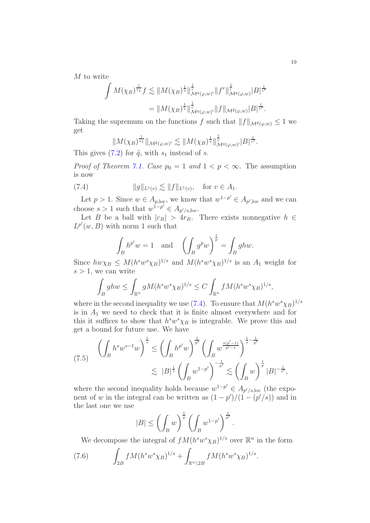M to write

$$
\int M(\chi_B)^{\frac{1}{s_1}} f \lesssim \|M(\chi_B)^{\frac{1}{s}}\|_{\mathcal{M}^q(\varphi,w)'}^{\frac{1}{r}} \|f^r\|_{\mathcal{M}^q(\varphi,w)}^{\frac{1}{r}} |B|^{\frac{1}{r'}}= \|M(\chi_B)^{\frac{1}{s}}\|_{\mathcal{M}^q(\varphi,w)'}^{\frac{1}{r}} \|f\|_{\mathcal{M}^{\tilde{q}}(\varphi,w)} |B|^{\frac{1}{r'}}.
$$

Taking the supremum on the functions f such that  $||f||_{\mathcal{M}^{\tilde{q}}(\varphi,w)} \leq 1$  we get

<span id="page-18-0"></span>
$$
||M(\chi_B)^{\frac{1}{s_1}}||_{\mathcal{M}^{\tilde{q}}(\varphi,w)'} \lesssim ||M(\chi_B)^{\frac{1}{s}}||_{\mathcal{M}^q(\varphi,w)'}^{\frac{1}{r}}|B|^{\frac{1}{r'}}.
$$

This gives [\(7.2\)](#page-17-2) for  $\tilde{q}$ , with  $s_1$  instead of s.

*Proof of Theorem [7.1.](#page-17-4) Case*  $p_0 = 1$  and  $1 < p < \infty$ . The assumption is now

(7.4) 
$$
||g||_{L^1(v)} \lesssim ||f||_{L^1(v)}, \text{ for } v \in A_1.
$$

Let  $p > 1$ . Since  $w \in A_{p,\text{loc}}$ , we know that  $w^{1-p'} \in A_{p',\text{loc}}$  and we can choose  $s > 1$  such that  $w^{1-p'} \in A_{p'/s,loc}$ .

Let B be a ball with  $|c_B| > 4r_B$ . There exists nonnegative  $h \in$  $L^{p'}(w, B)$  with norm 1 such that

$$
\int_B h^{p'} w = 1 \quad \text{and} \quad \left( \int_B g^p w \right)^{\frac{1}{p}} = \int_B ghw.
$$

Since  $hw\chi_B \leq M(h^sw^s\chi_B)^{1/s}$  and  $M(h^sw^s\chi_B)^{1/s}$  is an  $A_1$  weight for  $s > 1$ , we can write

$$
\int_B ghw \le \int_{\mathbb{R}^n} gM(h^s w^s \chi_B)^{1/s} \le C \int_{\mathbb{R}^n} fM(h^s w^s \chi_B)^{1/s},
$$

where in the second inequality we use [\(7.4\)](#page-18-0). To ensure that  $M(h^s w^s \chi_B)^{1/s}$ is in  $A_1$  we need to check that it is finite almost everywhere and for this it suffices to show that  $h^s w^s \chi_B$  is integrable. We prove this and get a bound for future use. We have

<span id="page-18-2"></span>
$$
(7.5) \qquad \left(\int_B h^s w^{s-1} w\right)^{\frac{1}{s}} \le \left(\int_B h^{p'} w\right)^{\frac{1}{p'}} \left(\int_B w^{\frac{s(p'-1)}{p'-s}}\right)^{\frac{1}{s}-\frac{1}{p'}}\n\n\lesssim |B|^{\frac{1}{s}} \left(\int_B w^{1-p'}\right)^{-\frac{1}{p'}} \lesssim \left(\int_B w\right)^{\frac{1}{p}} |B|^{-\frac{1}{s'}},
$$

where the second inequality holds because  $w^{1-p'} \in A_{p'/s,loc}$  (the exponent of w in the integral can be written as  $(1-p')/(1-(p'/s))$  and in the last one we use

$$
|B| \le \left(\int_B w\right)^{\frac{1}{p}} \left(\int_B w^{1-p'}\right)^{\frac{1}{p'}}.
$$

<span id="page-18-1"></span>We decompose the integral of  $f M (h<sup>s</sup> w<sup>s</sup> \chi_B)^{1/s}$  over  $\mathbb{R}^n$  in the form

(7.6) 
$$
\int_{2B} f M (h^s w^s \chi_B)^{1/s} + \int_{\mathbb{R}^n \setminus 2B} f M (h^s w^s \chi_B)^{1/s}.
$$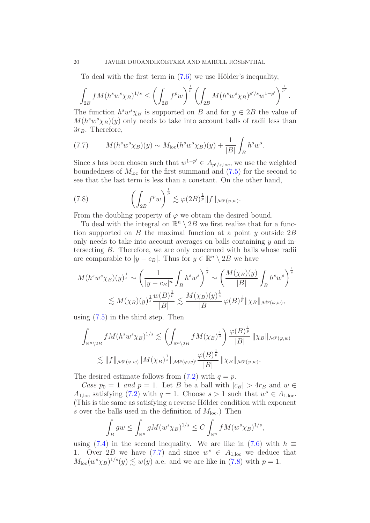To deal with the first term in  $(7.6)$  we use Hölder's inequality,

$$
\int_{2B} f M(h^s w^s \chi_B)^{1/s} \le \left( \int_{2B} f^p w \right)^{\frac{1}{p}} \left( \int_{2B} M(h^s w^s \chi_B)^{p/s} w^{1-p'} \right)^{\frac{1}{p'}}.
$$

The function  $h^s w^s \chi_B$  is supported on B and for  $y \in 2B$  the value of  $M(h^s w^s \chi_B)(y)$  only needs to take into account balls of radii less than  $3r_B$ . Therefore,

<span id="page-19-0"></span>(7.7) 
$$
M(h^s w^s \chi_B)(y) \sim M_{\text{loc}}(h^s w^s \chi_B)(y) + \frac{1}{|B|} \int_B h^s w^s.
$$

Since s has been chosen such that  $w^{1-p'} \in A_{p'/s,loc}$ , we use the weighted boundedness of  $M<sub>loc</sub>$  for the first summand and [\(7.5\)](#page-18-2) for the second to see that the last term is less than a constant. On the other hand,

<span id="page-19-1"></span>(7.8) 
$$
\left(\int_{2B} f^p w\right)^{\frac{1}{p}} \lesssim \varphi(2B)^{\frac{1}{p}} \|f\|_{\mathcal{M}^p(\varphi,w)}.
$$

From the doubling property of  $\varphi$  we obtain the desired bound.

To deal with the integral on  $\mathbb{R}^n \setminus 2B$  we first realize that for a function supported on B the maximal function at a point y outside  $2B$ only needs to take into account averages on balls containing  $\gamma$  and intersecting B. Therefore, we are only concerned with balls whose radii are comparable to  $|y - c_B|$ . Thus for  $y \in \mathbb{R}^n \setminus 2B$  we have

$$
M(h^s w^s \chi_B)(y)^{\frac{1}{s}} \sim \left(\frac{1}{|y - c_B|^n} \int_B h^s w^s \right)^{\frac{1}{s}} \sim \left(\frac{M(\chi_B)(y)}{|B|} \int_B h^s w^s \right)^{\frac{1}{s}}
$$
  

$$
\lesssim M(\chi_B)(y)^{\frac{1}{s}} \frac{w(B)^{\frac{1}{p}}}{|B|} \lesssim \frac{M(\chi_B)(y)^{\frac{1}{s}}}{|B|} \varphi(B)^{\frac{1}{p}} \|\chi_B\|_{\mathcal{M}^p(\varphi, w)},
$$

using [\(7.5\)](#page-18-2) in the third step. Then

$$
\int_{\mathbb{R}^n \setminus 2B} f M(h^s w^s \chi_B)^{1/s} \lesssim \left( \int_{\mathbb{R}^n \setminus 2B} f M(\chi_B)^{\frac{1}{s}} \right) \frac{\varphi(B)^{\frac{1}{p}}}{|B|} \|\chi_B\|_{\mathcal{M}^p(\varphi, w)}
$$
  

$$
\lesssim \|f\|_{\mathcal{M}^p(\varphi, w)} \|M(\chi_B)^{\frac{1}{s}}\|_{\mathcal{M}^p(\varphi, w)'} \frac{\varphi(B)^{\frac{1}{p}}}{|B|} \|\chi_B\|_{\mathcal{M}^p(\varphi, w)}.
$$

The desired estimate follows from  $(7.2)$  with  $q = p$ .

Case  $p_0 = 1$  and  $p = 1$ . Let B be a ball with  $|c_B| > 4r_B$  and  $w \in$  $A_{1,\text{loc}}$  satisfying [\(7.2\)](#page-17-2) with  $q = 1$ . Choose  $s > 1$  such that  $w^s \in A_{1,\text{loc}}$ . (This is the same as satisfying a reverse Hölder condition with exponent s over the balls used in the definition of  $M_{loc}$ .) Then

$$
\int_B gw \le \int_{\mathbb{R}^n} g M(w^s \chi_B)^{1/s} \le C \int_{\mathbb{R}^n} f M(w^s \chi_B)^{1/s},
$$

using [\(7.4\)](#page-18-0) in the second inequality. We are like in [\(7.6\)](#page-18-1) with  $h \equiv$ 1. Over 2B we have [\(7.7\)](#page-19-0) and since  $w^s \in A_{1,\text{loc}}$  we deduce that  $M_{\text{loc}}(w^{s}\chi_{B})^{1/s}(y) \lesssim w(y)$  a.e. and we are like in [\(7.8\)](#page-19-1) with  $p=1$ .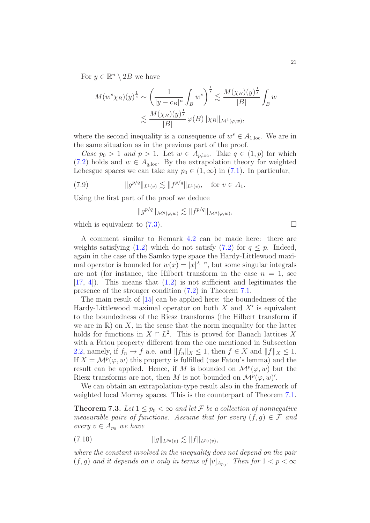For  $y \in \mathbb{R}^n \setminus 2B$  we have

$$
M(w^s \chi_B)(y)^{\frac{1}{s}} \sim \left(\frac{1}{|y-c_B|^n} \int_B w^s \right)^{\frac{1}{s}} \lesssim \frac{M(\chi_B)(y)^{\frac{1}{s}}}{|B|} \int_B w^s
$$
  

$$
\lesssim \frac{M(\chi_B)(y)^{\frac{1}{s}}}{|B|} \varphi(B) \|\chi_B\|_{\mathcal{M}^1(\varphi, w)},
$$

where the second inequality is a consequence of  $w^s \in A_{1,\text{loc}}$ . We are in the same situation as in the previous part of the proof.

Case  $p_0 > 1$  and  $p > 1$ . Let  $w \in A_{p,\text{loc}}$ . Take  $q \in (1, p)$  for which [\(7.2\)](#page-17-2) holds and  $w \in A_{q,loc}$ . By the extrapolation theory for weighted Lebesgue spaces we can take any  $p_0 \in (1,\infty)$  in [\(7.1\)](#page-17-1). In particular,

(7.9) 
$$
||g^{p/q}||_{L^1(v)} \lesssim ||f^{p/q}||_{L^1(v)}, \text{ for } v \in A_1.
$$

Using the first part of the proof we deduce

$$
||g^{p/q}||_{\mathcal{M}^q(\varphi,w)} \lesssim ||f^{p/q}||_{\mathcal{M}^q(\varphi,w)},
$$

which is equivalent to  $(7.3)$ .

A comment similar to Remark [4.2](#page-10-2) can be made here: there are weights satisfying [\(1.2\)](#page-1-0) which do not satisfy [\(7.2\)](#page-17-2) for  $q \leq p$ . Indeed, again in the case of the Samko type space the Hardy-Littlewood maximal operator is bounded for  $w(x) = |x|^{\lambda - n}$ , but some singular integrals are not (for instance, the Hilbert transform in the case  $n = 1$ , see  $[17, 4]$  $[17, 4]$  $[17, 4]$ . This means that  $(1.2)$  is not sufficient and legitimates the presence of the stronger condition [\(7.2\)](#page-17-2) in Theorem [7.1.](#page-17-4)

The main result of [\[15\]](#page-30-15) can be applied here: the boundedness of the Hardy-Littlewood maximal operator on both  $X$  and  $X'$  is equivalent to the boundedness of the Riesz transforms (the Hilbert transform if we are in  $\mathbb{R}$ ) on X, in the sense that the norm inequality for the latter holds for functions in  $X \cap L^2$ . This is proved for Banach lattices X with a Fatou property different from the one mentioned in Subsection [2.2,](#page-5-2) namely, if  $f_n \to f$  a.e. and  $||f_n||_X \leq 1$ , then  $f \in X$  and  $||f||_X \leq 1$ . If  $X = \mathcal{M}^p(\varphi, w)$  this property is fulfilled (use Fatou's lemma) and the result can be applied. Hence, if M is bounded on  $\mathcal{M}^p(\varphi, w)$  but the Riesz transforms are not, then M is not bounded on  $\mathcal{M}^p(\varphi, w)$ '.

We can obtain an extrapolation-type result also in the framework of weighted local Morrey spaces. This is the counterpart of Theorem [7.1.](#page-17-4)

<span id="page-20-0"></span>**Theorem 7.3.** Let  $1 \leq p_0 < \infty$  and let F be a collection of nonnegative measurable pairs of functions. Assume that for every  $(f, g) \in \mathcal{F}$  and every  $v \in A_{p_0}$  we have

$$
(7.10) \t\t\t ||g||_{L^{p_0}(v)} \lesssim ||f||_{L^{p_0}(v)},
$$

where the constant involved in the inequality does not depend on the pair  $(f, g)$  and it depends on v only in terms of  $[v]_{A_{p_0}}$ . Then for  $1 < p < \infty$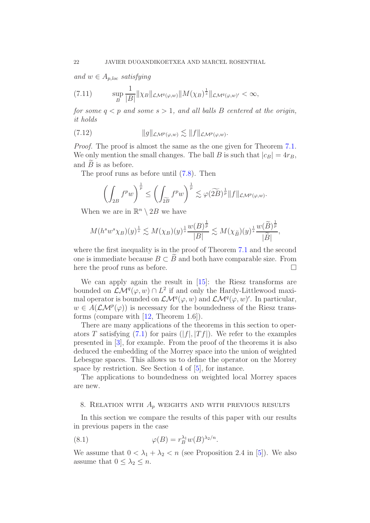and  $w \in A_{p,loc}$  satisfying

(7.11) 
$$
\sup_{B} \frac{1}{|B|} \|\chi_B\|_{\mathcal{LM}^q(\varphi,w)} \|M(\chi_B)^{\frac{1}{s}}\|_{\mathcal{LM}^q(\varphi,w)'} < \infty,
$$

for some  $q < p$  and some  $s > 1$ , and all balls B centered at the origin, it holds

$$
(7.12) \t\t\t ||g||_{\mathcal{LM}^p(\varphi,w)} \lesssim ||f||_{\mathcal{LM}^p(\varphi,w)}.
$$

Proof. The proof is almost the same as the one given for Theorem [7.1.](#page-17-4) We only mention the small changes. The ball B is such that  $|c_B| = 4r_B$ , and  $B$  is as before.

The proof runs as before until [\(7.8\)](#page-19-1). Then

$$
\left(\int_{2B} f^p w\right)^{\frac{1}{p}} \le \left(\int_{\widetilde{2B}} f^p w\right)^{\frac{1}{p}} \lesssim \varphi(\widetilde{2B})^{\frac{1}{p}} \|f\|_{\mathcal{LM}^p(\varphi,w)}.
$$

When we are in  $\mathbb{R}^n \setminus 2B$  we have

$$
M(h^s w^s \chi_B)(y)^{\frac{1}{s}} \lesssim M(\chi_B)(y)^{\frac{1}{s}} \frac{w(B)^{\frac{1}{p}}}{|B|} \lesssim M(\chi_{\widetilde{B}})(y)^{\frac{1}{s}} \frac{w(\widetilde{B})^{\frac{1}{p}}}{|\widetilde{B}|},
$$

where the first inequality is in the proof of Theorem [7.1](#page-17-4) and the second one is immediate because  $B \subset \overline{B}$  and both have comparable size. From here the proof runs as before. □ here the proof runs as before.

We can apply again the result in [\[15\]](#page-30-15): the Riesz transforms are bounded on  $\mathcal{LM}^q(\varphi, w) \cap L^2$  if and only the Hardy-Littlewood maximal operator is bounded on  $\mathcal{LM}^q(\varphi, w)$  and  $\mathcal{LM}^q(\varphi, w)'$ . In particular,  $w \in A(\mathcal{LM}^p(\varphi))$  is necessary for the boundedness of the Riesz transforms (compare with [\[12,](#page-30-4) Theorem 1.6]).

There are many applications of the theorems in this section to operators T satisfying  $(7.1)$  for pairs  $(|f|, |Tf|)$ . We refer to the examples presented in [\[3\]](#page-29-1), for example. From the proof of the theorems it is also deduced the embedding of the Morrey space into the union of weighted Lebesgue spaces. This allows us to define the operator on the Morrey space by restriction. See Section 4 of [\[5\]](#page-29-0), for instance.

The applications to boundedness on weighted local Morrey spaces are new.

## <span id="page-21-0"></span>8. RELATION WITH  $A_p$  weights and with previous results

In this section we compare the results of this paper with our results in previous papers in the case

<span id="page-21-1"></span>(8.1) 
$$
\varphi(B) = r_B^{\lambda_1} w(B)^{\lambda_2/n}.
$$

We assume that  $0 < \lambda_1 + \lambda_2 < n$  (see Proposition 2.4 in [\[5\]](#page-29-0)). We also assume that  $0 \leq \lambda_2 \leq n$ .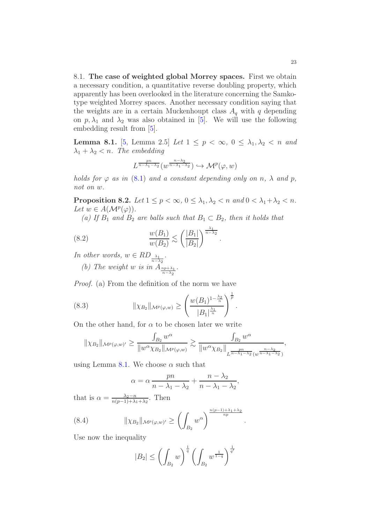8.1. The case of weighted global Morrey spaces. First we obtain a necessary condition, a quantitative reverse doubling property, which apparently has been overlooked in the literature concerning the Samkotype weighted Morrey spaces. Another necessary condition saying that the weights are in a certain Muckenhoupt class  $A_q$  with q depending on  $p, \lambda_1$  and  $\lambda_2$  was also obtained in [\[5\]](#page-29-0). We will use the following embedding result from [\[5\]](#page-29-0).

<span id="page-22-1"></span>**Lemma 8.1.** [\[5,](#page-29-0) Lemma 2.5] Let  $1 \leq p < \infty$ ,  $0 \leq \lambda_1, \lambda_2 < n$  and  $\lambda_1 + \lambda_2 < n$ . The embedding

$$
L^{\frac{pn}{n-\lambda_1-\lambda_2}}(w^{\frac{n-\lambda_2}{n-\lambda_1-\lambda_2}}) \hookrightarrow \mathcal{M}^p(\varphi, w)
$$

holds for  $\varphi$  as in [\(8.1\)](#page-21-1) and a constant depending only on n,  $\lambda$  and p, not on w.

<span id="page-22-0"></span>Proposition 8.2. Let  $1 \leq p < \infty$ ,  $0 \leq \lambda_1, \lambda_2 < n$  and  $0 < \lambda_1 + \lambda_2 < n$ . Let  $w \in A(\mathcal{M}^p(\varphi))$ .

<span id="page-22-2"></span>.

(a) If  $B_1$  and  $B_2$  are balls such that  $B_1 \subset B_2$ , then it holds that

(8.2) 
$$
\frac{w(B_1)}{w(B_2)} \lesssim \left(\frac{|B_1|}{|B_2|}\right)^{\frac{\lambda_1}{n-\lambda_2}}
$$

In other words,  $w \in RD_{\frac{\lambda_1}{n-\lambda_2}}$ .

(b) The weight w is in  $A_{\frac{np+\lambda_1}{n-\lambda_2}}$ .

Proof. (a) From the definition of the norm we have

(8.3) 
$$
\|\chi_{B_2}\|_{\mathcal{M}^p(\varphi,w)} \ge \left(\frac{w(B_1)^{1-\frac{\lambda_2}{n}}}{|B_1|^{\frac{\lambda_1}{n}}}\right)^{\frac{1}{p}}.
$$

On the other hand, for  $\alpha$  to be chosen later we write

<span id="page-22-3"></span>
$$
\|\chi_{B_2}\|_{\mathcal{M}^p(\varphi,w)'}\geq \frac{\int_{B_2}w^\alpha}{\|w^\alpha\chi_{B_2}\|_{\mathcal{M}^p(\varphi,w)}}\gtrsim \frac{\int_{B_2}w^\alpha}{\|w^\alpha\chi_{B_2}\|_{L^{\frac{pn}{n-\lambda_1-\lambda_2}}(w^{\frac{n-\lambda_2}{n-\lambda_1-\lambda_2}})}},
$$

using Lemma [8.1.](#page-22-1) We choose  $\alpha$  such that

$$
\alpha = \alpha \frac{pn}{n - \lambda_1 - \lambda_2} + \frac{n - \lambda_2}{n - \lambda_1 - \lambda_2},
$$

that is  $\alpha = \frac{\lambda_2 - n}{n(n-1) + \lambda_1}$  $\frac{\lambda_2 - n}{n(p-1) + \lambda_1 + \lambda_2}$ . Then

(8.4) 
$$
\|\chi_{B_2}\|_{\mathcal{M}^p(\varphi,w)'} \geq \left(\int_{B_2} w^{\alpha}\right)^{\frac{n(p-1)+\lambda_1+\lambda_2}{np}}.
$$

Use now the inequality

<span id="page-22-4"></span>
$$
|B_2| \le \left(\int_{B_2} w\right)^{\frac{1}{q}} \left(\int_{B_2} w^{\frac{1}{1-q}}\right)^{\frac{1}{q'}}
$$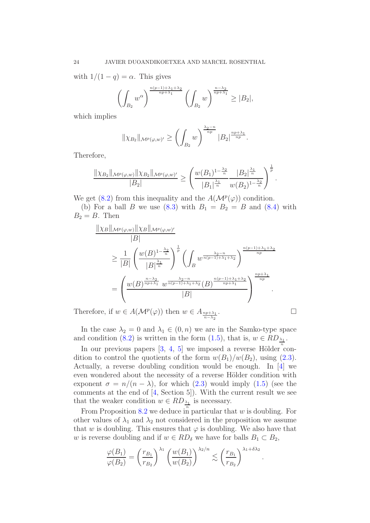with  $1/(1-q) = \alpha$ . This gives

$$
\left(\int_{B_2} w^{\alpha}\right)^{\frac{n(p-1)+\lambda_1+\lambda_2}{np+\lambda_1}} \left(\int_{B_2} w\right)^{\frac{n-\lambda_2}{np+\lambda_1}} \ge |B_2|,
$$

which implies

$$
\|\chi_{B_2}\|_{\mathcal{M}^p(\varphi,w)'}\geq \left(\int_{B_2}w\right)^{\frac{\lambda_2-n}{np}}|B_2|^{\frac{np+\lambda_1}{np}}.
$$

Therefore,

$$
\frac{\|\chi_{B_2}\|_{\mathcal{M}^p(\varphi,w)}\|\chi_{B_2}\|_{\mathcal{M}^p(\varphi,w)'}}{|B_2|} \geq \left(\frac{w(B_1)^{1-\frac{\lambda_2}{n}}}{|B_1|^{\frac{\lambda_1}{n}}} \frac{|B_2|^{\frac{\lambda_1}{n}}}{w(B_2)^{1-\frac{\lambda_2}{n}}}\right)^{\frac{1}{p}}.
$$

We get [\(8.2\)](#page-22-2) from this inequality and the  $A(\mathcal{M}^p(\varphi))$  condition.

(b) For a ball B we use [\(8.3\)](#page-22-3) with  $B_1 = B_2 = B$  and [\(8.4\)](#page-22-4) with  $B_2 = B$ . Then

$$
\frac{\|\chi_B\|_{\mathcal{M}^p(\varphi,w)}\|\chi_B\|_{\mathcal{M}^p(\varphi,w)'}}{|B|}
$$
\n
$$
\geq \frac{1}{|B|} \left(\frac{w(B)^{1-\frac{\lambda_2}{n}}}{|B|^{\frac{\lambda_1}{n}}}\right)^{\frac{1}{p}} \left(\int_B w^{\frac{\lambda_2-n}{n(p-1)+\lambda_1+\lambda_2}}\right)^{\frac{n(p-1)+\lambda_1+\lambda_2}{np}}
$$
\n
$$
= \left(\frac{w(B)^{\frac{n-\lambda_2}{np+\lambda_1}}w^{\frac{\lambda_2-n}{n(p-1)+\lambda_1+\lambda_2}}(B)^{\frac{n(p-1)+\lambda_1+\lambda_2}{np+\lambda_1}}}{|B|}\right)^{\frac{np+\lambda_1}{np}}.
$$

Therefore, if  $w \in A(\mathcal{M}^p(\varphi))$  then  $w \in A_{\frac{np+\lambda_1}{n-\lambda_2}}$ 

$$
\qquad \qquad \blacksquare
$$

In the case  $\lambda_2 = 0$  and  $\lambda_1 \in (0, n)$  we are in the Samko-type space and condition [\(8.2\)](#page-22-2) is written in the form [\(1.5\)](#page-3-1), that is,  $w \in RD_{\frac{\lambda_1}{n}}$ .

In our previous papers  $[3, 4, 5]$  $[3, 4, 5]$  $[3, 4, 5]$  $[3, 4, 5]$  we imposed a reverse Hölder condition to control the quotients of the form  $w(B_1)/w(B_2)$ , using [\(2.3\)](#page-4-3). Actually, a reverse doubling condition would be enough. In [\[4\]](#page-29-3) we even wondered about the necessity of a reverse Hölder condition with exponent  $\sigma = n/(n - \lambda)$ , for which [\(2.3\)](#page-4-3) would imply [\(1.5\)](#page-3-1) (see the comments at the end of [\[4,](#page-29-3) Section 5]). With the current result we see that the weaker condition  $w \in RD_{\frac{\lambda_1}{n}}$  is necessary.

From Proposition  $8.2$  we deduce in particular that  $w$  is doubling. For other values of  $\lambda_1$  and  $\lambda_2$  not considered in the proposition we assume that w is doubling. This ensures that  $\varphi$  is doubling. We also have that w is reverse doubling and if  $w \in RD_{\delta}$  we have for balls  $B_1 \subset B_2$ ,

$$
\frac{\varphi(B_1)}{\varphi(B_2)} = \left(\frac{r_{B_1}}{r_{B_2}}\right)^{\lambda_1} \left(\frac{w(B_1)}{w(B_2)}\right)^{\lambda_2/n} \lesssim \left(\frac{r_{B_1}}{r_{B_2}}\right)^{\lambda_1 + \delta \lambda_2}.
$$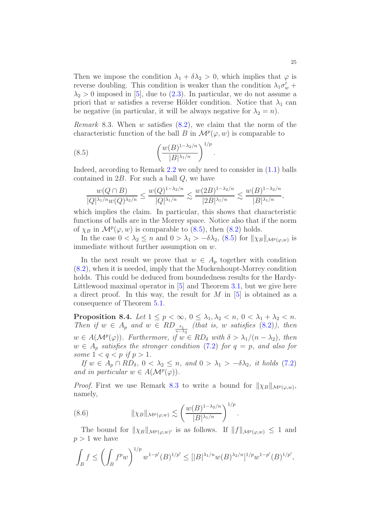Then we impose the condition  $\lambda_1 + \delta \lambda_2 > 0$ , which implies that  $\varphi$  is reverse doubling. This condition is weaker than the condition  $\lambda_1 \sigma'_w$  +  $\lambda_2 > 0$  imposed in [\[5\]](#page-29-0), due to [\(2.3\)](#page-4-3). In particular, we do not assume a priori that w satisfies a reverse Hölder condition. Notice that  $\lambda_1$  can be negative (in particular, it will be always negative for  $\lambda_2 = n$ ).

<span id="page-24-1"></span>*Remark* 8.3. When w satisfies  $(8.2)$ , we claim that the norm of the characteristic function of the ball B in  $\mathcal{M}^p(\varphi, w)$  is comparable to

(8.5) 
$$
\left(\frac{w(B)^{1-\lambda_2/n}}{|B|^{\lambda_1/n}}\right)^{1/p}.
$$

Indeed, according to Remark [2.2](#page-4-4) we only need to consider in [\(1.1\)](#page-0-0) balls contained in  $2B$ . For such a ball  $Q$ , we have

<span id="page-24-0"></span>
$$
\frac{w(Q\cap B)}{|Q|^{\lambda_1/n}w(Q)^{\lambda_2/n}}\leq \frac{w(Q)^{1-\lambda_2/n}}{|Q|^{\lambda_1/n}}\lesssim \frac{w(2B)^{1-\lambda_2/n}}{|2B|^{\lambda_1/n}}\lesssim \frac{w(B)^{1-\lambda_2/n}}{|B|^{\lambda_1/n}},
$$

which implies the claim. In particular, this shows that characteristic functions of balls are in the Morrey space. Notice also that if the norm of  $\chi_B$  in  $\mathcal{M}^p(\varphi, w)$  is comparable to [\(8.5\)](#page-24-0), then [\(8.2\)](#page-22-2) holds.

In the case  $0 < \lambda_2 \le n$  and  $0 > \lambda_1 > -\delta\lambda_2$ , [\(8.5\)](#page-24-0) for  $\|\chi_B\|_{\mathcal{M}^p(\varphi,w)}$  is immediate without further assumption on  $w$ .

In the next result we prove that  $w \in A_p$  together with condition [\(8.2\)](#page-22-2), when it is needed, imply that the Muckenhoupt-Morrey condition holds. This could be deduced from boundedness results for the Hardy-Littlewood maximal operator in [\[5\]](#page-29-0) and Theorem [3.1,](#page-7-1) but we give here a direct proof. In this way, the result for  $M$  in  $[5]$  is obtained as a consequence of Theorem [5.1.](#page-12-2)

<span id="page-24-3"></span>Proposition 8.4. Let  $1 \leq p < \infty$ ,  $0 \leq \lambda_1, \lambda_2 < n$ ,  $0 < \lambda_1 + \lambda_2 < n$ . Then if  $w \in A_p$  and  $w \in RD_{\frac{\lambda_1}{n-\lambda_2}}$  (that is, w satisfies [\(8.2\)](#page-22-2)), then  $w \in A(\mathcal{M}^p(\varphi))$ . Furthermore, if  $w \in RD_{\delta}$  with  $\delta > \lambda_1/(n - \lambda_2)$ , then  $w \in A_p$  satisfies the stronger condition [\(7.2\)](#page-17-2) for  $q = p$ , and also for some  $1 < q < p$  if  $p > 1$ .

If  $w \in A_p \cap RD_\delta$ ,  $0 < \lambda_2 \leq n$ , and  $0 > \lambda_1 > -\delta \lambda_2$ , it holds [\(7.2\)](#page-17-2) and in particular  $w \in A(\mathcal{M}^p(\varphi))$ .

*Proof.* First we use Remark [8.3](#page-24-1) to write a bound for  $\|\chi_B\|_{\mathcal{M}^p(\varphi,w)}$ , namely,

<span id="page-24-2"></span>(8.6) 
$$
\|\chi_B\|_{\mathcal{M}^p(\varphi,w)} \lesssim \left(\frac{w(B)^{1-\lambda_2/n}}{|B|^{\lambda_1/n}}\right)^{1/p}
$$

The bound for  $\|\chi_B\|_{\mathcal{M}^p(\varphi,w)}$  is as follows. If  $\|f\|_{\mathcal{M}^p(\varphi,w)} \leq 1$  and  $p > 1$  we have

.

$$
\int_B f \le \left(\int_B f^p w\right)^{1/p} w^{1-p'} (B)^{1/p'} \le [|B|^{\lambda_1/n} w(B)^{\lambda_2/n}]^{1/p} w^{1-p'} (B)^{1/p'},
$$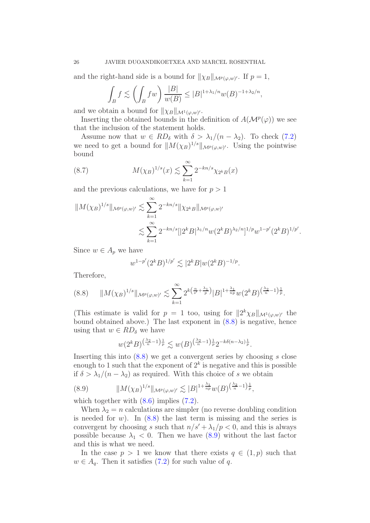and the right-hand side is a bound for  $\|\chi_B\|_{\mathcal{M}^p(\varphi,w)'}$ . If  $p=1$ ,

$$
\int_B f \lesssim \left( \int_B fw \right) \frac{|B|}{w(B)} \le |B|^{1 + \lambda_1/n} w(B)^{-1 + \lambda_2/n},
$$

and we obtain a bound for  $\|\chi_B\|_{\mathcal{M}^1(\varphi,w)'}$ .

Inserting the obtained bounds in the definition of  $A(\mathcal{M}^p(\varphi))$  we see that the inclusion of the statement holds.

Assume now that  $w \in RD_{\delta}$  with  $\delta > \lambda_1/(n - \lambda_2)$ . To check [\(7.2\)](#page-17-2) we need to get a bound for  $||M(\chi_B)^{1/s}||_{\mathcal{M}^p(\varphi,w)}$ . Using the pointwise bound

<span id="page-25-2"></span>(8.7) 
$$
M(\chi_B)^{1/s}(x) \lesssim \sum_{k=1}^{\infty} 2^{-kn/s} \chi_{2^k B}(x)
$$

and the previous calculations, we have for  $p > 1$ 

$$
||M(\chi_B)^{1/s}||_{\mathcal{M}^p(\varphi,w)'} \lesssim \sum_{k=1}^{\infty} 2^{-kn/s} ||\chi_{2^k B}||_{\mathcal{M}^p(\varphi,w)'}
$$
  

$$
\lesssim \sum_{k=1}^{\infty} 2^{-kn/s} [2^k B|^{\lambda_1/n} w (2^k B)^{\lambda_2/n}]^{1/p} w^{1-p'} (2^k B)^{1/p'}
$$

.

Since  $w \in A_p$  we have

$$
w^{1-p'}(2^k B)^{1/p'} \lesssim |2^k B| w (2^k B)^{-1/p}.
$$

Therefore,

<span id="page-25-0"></span>
$$
(8.8) \qquad ||M(\chi_B)^{1/s}||_{\mathcal{M}^p(\varphi,w)'} \lesssim \sum_{k=1}^{\infty} 2^{k\left(\frac{n}{s'} + \frac{\lambda_1}{p}\right)} |B|^{1+\frac{\lambda_1}{np}} w(2^k B)^{\left(\frac{\lambda_2}{n} - 1\right)\frac{1}{p}}.
$$

(This estimate is valid for  $p = 1$  too, using for  $||2^k \chi_B||_{\mathcal{M}^1(\varphi,w)}$  the bound obtained above.) The last exponent in [\(8.8\)](#page-25-0) is negative, hence using that  $w \in RD_{\delta}$  we have

$$
w(2^k B)^{\left(\frac{\lambda_2}{n}-1\right)\frac{1}{p}} \lesssim w(B)^{\left(\frac{\lambda_2}{n}-1\right)\frac{1}{p}} 2^{-k\delta\left(n-\lambda_2\right)\frac{1}{p}}.
$$

Inserting this into  $(8.8)$  we get a convergent series by choosing s close enough to 1 such that the exponent of  $2^k$  is negative and this is possible if  $\delta > \lambda_1/(n - \lambda_2)$  as required. With this choice of s we obtain

<span id="page-25-1"></span>
$$
(8.9) \t\t ||M(\chi_B)^{1/s}||_{\mathcal{M}^p(\varphi, w)'} \lesssim |B|^{1+\frac{\lambda_1}{np}} w(B)^{\left(\frac{\lambda_2}{n}-1\right)\frac{1}{p}},
$$

which together with  $(8.6)$  implies  $(7.2)$ .

When  $\lambda_2 = n$  calculations are simpler (no reverse doubling condition is needed for  $w$ ). In  $(8.8)$  the last term is missing and the series is convergent by choosing s such that  $n/s' + \lambda_1/p < 0$ , and this is always possible because  $\lambda_1$  < 0. Then we have [\(8.9\)](#page-25-1) without the last factor and this is what we need.

In the case  $p > 1$  we know that there exists  $q \in (1, p)$  such that  $w \in A_q$ . Then it satisfies [\(7.2\)](#page-17-2) for such value of q.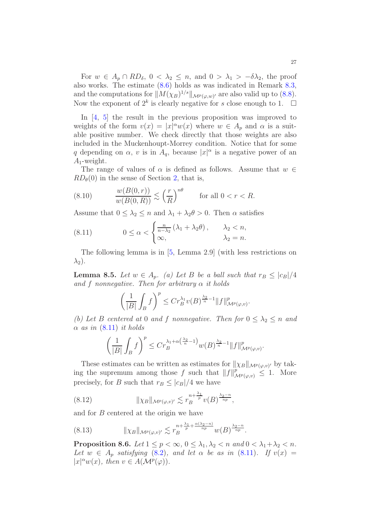For  $w \in A_p \cap RD_\delta$ ,  $0 < \lambda_2 \leq n$ , and  $0 > \lambda_1 > -\delta \lambda_2$ , the proof also works. The estimate [\(8.6\)](#page-24-2) holds as was indicated in Remark [8.3,](#page-24-1) and the computations for  $||M(\chi_B)^{1/s}||_{\mathcal{M}^p(\varphi,w)}$  are also valid up to [\(8.8\)](#page-25-0). Now the exponent of  $2^k$  is clearly negative for s close enough to 1.  $\Box$ 

In [\[4,](#page-29-3) [5\]](#page-29-0) the result in the previous proposition was improved to weights of the form  $v(x) = |x|^{\alpha} w(x)$  where  $w \in A_p$  and  $\alpha$  is a suitable positive number. We check directly that those weights are also included in the Muckenhoupt-Morrey condition. Notice that for some q depending on  $\alpha$ , v is in  $A_q$ , because  $|x|^{\alpha}$  is a negative power of an  $A_1$ -weight.

The range of values of  $\alpha$  is defined as follows. Assume that  $w \in$  $RD_{\theta}(0)$  in the sense of Section [2,](#page-3-0) that is,

<span id="page-26-4"></span>(8.10) 
$$
\frac{w(B(0,r))}{w(B(0,R))} \lesssim \left(\frac{r}{R}\right)^{n\theta} \quad \text{for all } 0 < r < R.
$$

Assume that  $0 \leq \lambda_2 \leq n$  and  $\lambda_1 + \lambda_2 \theta > 0$ . Then  $\alpha$  satisfies

<span id="page-26-0"></span>(8.11) 
$$
0 \leq \alpha < \begin{cases} \frac{n}{n-\lambda_2}(\lambda_1 + \lambda_2 \theta), & \lambda_2 < n, \\ \infty, & \lambda_2 = n. \end{cases}
$$

The following lemma is in [\[5,](#page-29-0) Lemma 2.9] (with less restrictions on  $\lambda_2$ ).

**Lemma 8.5.** Let  $w \in A_p$ . (a) Let B be a ball such that  $r_B \leq |c_B|/4$ and f nonnegative. Then for arbitrary  $\alpha$  it holds

$$
\left(\frac{1}{|B|}\int_B f\right)^p \le Cr_B^{\lambda_1}v(B)^{\frac{\lambda_2}{n}-1}\|f\|^p_{\mathcal M^p(\varphi,v)}.
$$

(b) Let B centered at 0 and f nonnegative. Then for  $0 \leq \lambda_2 \leq n$  and  $\alpha$  as in  $(8.11)$  it holds

$$
\left(\frac{1}{|B|}\int_B f\right)^p \le Cr_B^{\lambda_1+\alpha\left(\frac{\lambda_2}{n}-1\right)}w(B)^{\frac{\lambda_2}{n}-1}\|f\|_{\mathcal{M}^p(\varphi,v)}^p.
$$

These estimates can be written as estimates for  $\|\chi_B\|_{\mathcal{M}^p(\varphi,v)}$  by taking the supremum among those f such that  $||f||_{\mathcal{M}^p(\varphi,v)}^p \leq 1$ . More precisely, for B such that  $r_B \leq |c_B|/4$  we have

<span id="page-26-1"></span>(8.12) 
$$
\|\chi_B\|_{\mathcal{M}^p(\varphi,v)'} \lesssim r_B^{n+\frac{\lambda_1}{p}}v(B)^{\frac{\lambda_2-n}{np}},
$$

and for B centered at the origin we have

<span id="page-26-2"></span>(8.13) 
$$
\|\chi_B\|_{\mathcal{M}^p(\varphi,v)'} \lesssim r_B^{n+\frac{\lambda_1}{p}+\frac{\alpha(\lambda_2-n)}{np}} w(B)^{\frac{\lambda_2-n}{np}}.
$$

<span id="page-26-3"></span>**Proposition 8.6.** Let  $1 \leq p < \infty$ ,  $0 \leq \lambda_1, \lambda_2 < n$  and  $0 < \lambda_1 + \lambda_2 < n$ . Let  $w \in A_p$  satisfying [\(8.2\)](#page-22-2), and let  $\alpha$  be as in [\(8.11\)](#page-26-0). If  $v(x) =$  $|x|^{\alpha}w(x)$ , then  $v \in A(\mathcal{M}^p(\varphi))$ .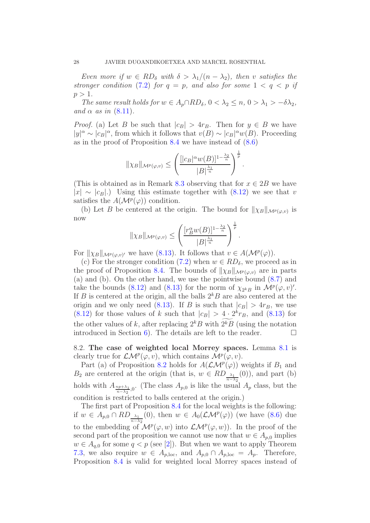Even more if  $w \in RD_{\delta}$  with  $\delta > \lambda_1/(n - \lambda_2)$ , then v satisfies the stronger condition [\(7.2\)](#page-17-2) for  $q = p$ , and also for some  $1 \lt q \lt p$  if  $p > 1$ .

The same result holds for  $w \in A_p \cap RD_\delta$ ,  $0 < \lambda_2 \leq n, 0 > \lambda_1 > -\delta \lambda_2$ , and  $\alpha$  as in  $(8.11)$ .

*Proof.* (a) Let B be such that  $|c_B| > 4r_B$ . Then for  $y \in B$  we have  $|y|^{\alpha} \sim |c_B|^{\alpha}$ , from which it follows that  $v(B) \sim |c_B|^{\alpha} w(B)$ . Proceeding as in the proof of Proposition [8.4](#page-24-3) we have instead of [\(8.6\)](#page-24-2)

$$
\|\chi_B\|_{\mathcal{M}^p(\varphi,v)} \leq \left(\frac{[|c_B|^{\alpha}w(B)]^{1-\frac{\lambda_2}{n}}}{|B|^{\frac{\lambda_1}{n}}}\right)^{\frac{1}{p}}.
$$

(This is obtained as in Remark [8.3](#page-24-1) observing that for  $x \in 2B$  we have  $|x| \sim |c_B|$ .) Using this estimate together with  $(8.12)$  we see that v satisfies the  $A(\mathcal{M}^p(\varphi))$  condition.

(b) Let B be centered at the origin. The bound for  $\|\chi_B\|_{\mathcal{M}^p(\varphi,v)}$  is now

$$
\|\chi_B\|_{\mathcal{M}^p(\varphi,v)} \leq \left(\frac{[r_B^{\alpha}w(B)]^{1-\frac{\lambda_2}{n}}}{|B|^{\frac{\lambda_1}{n}}}\right)^{\frac{1}{p}}.
$$

For  $\|\chi_B\|_{\mathcal{M}^p(\varphi,v)}$  we have [\(8.13\)](#page-26-2). It follows that  $v \in A(\mathcal{M}^p(\varphi))$ .

(c) For the stronger condition [\(7.2\)](#page-17-2) when  $w \in RD_{\delta}$ , we proceed as in the proof of Proposition [8.4.](#page-24-3) The bounds of  $\|\chi_B\|_{\mathcal{M}^p(\varphi,v)}$  are in parts (a) and (b). On the other hand, we use the pointwise bound [\(8.7\)](#page-25-2) and take the bounds [\(8.12\)](#page-26-1) and [\(8.13\)](#page-26-2) for the norm of  $\chi_{2^k}$  in  $\mathcal{M}^p(\varphi, v)'$ . If B is centered at the origin, all the balls  $2k$ B are also centered at the origin and we only need [\(8.13\)](#page-26-2). If B is such that  $|c_B| > 4r_B$ , we use  $(8.12)$  for those values of k such that  $|c_B| > 4 \cdot 2^k r_B$ , and  $(8.13)$  for the other values of k, after replacing  $2^k B$  with  $2^k \overline{B}$  (using the notation introduced in Section 6). The details are left to the reader. introduced in Section [6\)](#page-13-0). The details are left to the reader.

8.2. The case of weighted local Morrey spaces. Lemma [8.1](#page-22-1) is clearly true for  $\mathcal{LM}^p(\varphi, v)$ , which contains  $\mathcal{M}^p(\varphi, v)$ .

Part (a) of Proposition [8.2](#page-22-0) holds for  $A(\mathcal{LM}^p(\varphi))$  weights if  $B_1$  and  $B_2$  are centered at the origin (that is,  $w \in RD_{\frac{\lambda_1}{n-\lambda_2}}(0)$ ), and part (b) holds with  $A_{\frac{np+\lambda_1}{n-\lambda_2},0}$ . (The class  $A_{p,0}$  is like the usual  $A_p$  class, but the condition is restricted to balls centered at the origin.)

The first part of Proposition [8.4](#page-24-3) for the local weights is the following: if  $w \in A_{p,0} \cap RD_{\frac{\lambda_1}{n-\lambda_2}}(0)$ , then  $w \in A_0(\mathcal{LM}^p(\varphi))$  (we have  $(8.6)$  due to the embedding of  $\mathcal{M}^p(\varphi, w)$  into  $\mathcal{LM}^p(\varphi, w)$ ). In the proof of the second part of the proposition we cannot use now that  $w \in A_{p,0}$  implies  $w \in A_{q,0}$  for some  $q < p$  (see [\[2\]](#page-29-2)). But when we want to apply Theorem [7.3,](#page-20-0) we also require  $w \in A_{p,\text{loc}}$ , and  $A_{p,0} \cap A_{p,\text{loc}} = A_p$ . Therefore, Proposition [8.4](#page-24-3) is valid for weighted local Morrey spaces instead of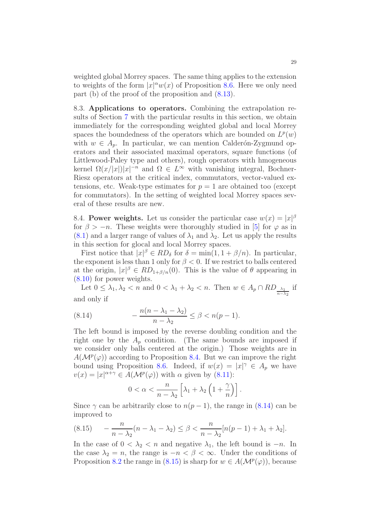weighted global Morrey spaces. The same thing applies to the extension to weights of the form  $|x|^{\alpha}w(x)$  of Proposition [8.6.](#page-26-3) Here we only need part (b) of the proof of the proposition and  $(8.13)$ .

8.3. Applications to operators. Combining the extrapolation results of Section [7](#page-17-0) with the particular results in this section, we obtain immediately for the corresponding weighted global and local Morrey spaces the boundedness of the operators which are bounded on  $L^p(w)$ with  $w \in A_n$ . In particular, we can mention Calderón-Zygmund operators and their associated maximal operators, square functions (of Littlewood-Paley type and others), rough operators with hmogeneous kernel  $\Omega(x/|x|)|x|^{-n}$  and  $\Omega \in L^{\infty}$  with vanishing integral, Bochner-Riesz operators at the critical index, commutators, vector-valued extensions, etc. Weak-type estimates for  $p = 1$  are obtained too (except for commutators). In the setting of weighted local Morrey spaces several of these results are new.

8.4. Power weights. Let us consider the particular case  $w(x) = |x|^{\beta}$ for  $\beta > -n$ . These weights were thoroughly studied in [\[5\]](#page-29-0) for  $\varphi$  as in  $(8.1)$  and a larger range of values of  $\lambda_1$  and  $\lambda_2$ . Let us apply the results in this section for glocal and local Morrey spaces.

First notice that  $|x|^\beta \in RD_\delta$  for  $\delta = \min(1, 1 + \beta/n)$ . In particular, the exponent is less than 1 only for  $\beta < 0$ . If we restrict to balls centered at the origin,  $|x|^\beta \in RD_{1+\beta/n}(0)$ . This is the value of  $\theta$  appearing in [\(8.10\)](#page-26-4) for power weights.

Let  $0 \leq \lambda_1, \lambda_2 < n$  and  $0 < \lambda_1 + \lambda_2 < n$ . Then  $w \in A_p \cap RD_{\frac{\lambda_1}{n-\lambda_2}}$  if and only if

<span id="page-28-0"></span>(8.14) 
$$
-\frac{n(n-\lambda_1-\lambda_2)}{n-\lambda_2} \le \beta < n(p-1).
$$

The left bound is imposed by the reverse doubling condition and the right one by the  $A_p$  condition. (The same bounds are imposed if we consider only balls centered at the origin.) Those weights are in  $A(\mathcal{M}^p(\varphi))$  according to Proposition [8.4.](#page-24-3) But we can improve the right bound using Proposition [8.6.](#page-26-3) Indeed, if  $w(x) = |x|^{\gamma} \in A_p$  we have  $v(x) = |x|^{\alpha + \gamma} \in A(\mathcal{M}^p(\varphi))$  with  $\alpha$  given by [\(8.11\)](#page-26-0):

$$
0 < \alpha < \frac{n}{n - \lambda_2} \left[ \lambda_1 + \lambda_2 \left( 1 + \frac{\gamma}{n} \right) \right].
$$

Since  $\gamma$  can be arbitrarily close to  $n(p-1)$ , the range in [\(8.14\)](#page-28-0) can be improved to

<span id="page-28-1"></span>(8.15) 
$$
-\frac{n}{n-\lambda_2}(n-\lambda_1-\lambda_2) \leq \beta < \frac{n}{n-\lambda_2}[n(p-1)+\lambda_1+\lambda_2].
$$

In the case of  $0 < \lambda_2 < n$  and negative  $\lambda_1$ , the left bound is  $-n$ . In the case  $\lambda_2 = n$ , the range is  $-n < \beta < \infty$ . Under the conditions of Proposition [8.2](#page-22-0) the range in [\(8.15\)](#page-28-1) is sharp for  $w \in A(\mathcal{M}^p(\varphi))$ , because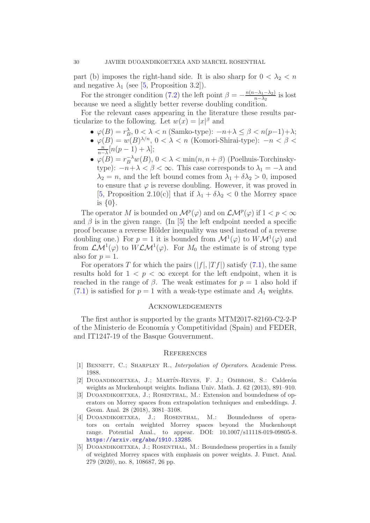part (b) imposes the right-hand side. It is also sharp for  $0 < \lambda_2 < n$ and negative  $\lambda_1$  (see [\[5,](#page-29-0) Proposition 3.2]).

For the stronger condition [\(7.2\)](#page-17-2) the left point  $\beta = -\frac{n(n-\lambda_1-\lambda_2)}{n-\lambda_2}$  $\frac{-\lambda_1 - \lambda_2}{n - \lambda_2}$  is lost because we need a slightly better reverse doubling condition.

For the relevant cases appearing in the literature these results particularize to the following. Let  $w(x) = |x|^{\beta}$  and

- $\varphi(B) = r_B^{\lambda}, 0 < \lambda < n$  (Samko-type):  $-n + \lambda \leq \beta < n(p-1) + \lambda$ ;
- $\varphi(B) = w(B)^{\lambda/n}$ ,  $0 < \lambda < n$  (Komori-Shirai-type):  $-n < \beta <$ n  $\frac{n}{n-\lambda}[n(p-1)+\lambda];$
- $\varphi(B) = r_B^{-\lambda} w(B)$ ,  $0 < \lambda < \min(n, n + \beta)$  (Poelhuis-Torchinskytype):  $-n+\lambda < \beta < \infty$ . This case corresponds to  $\lambda_1 = -\lambda$  and  $\lambda_2 = n$ , and the left bound comes from  $\lambda_1 + \delta \lambda_2 > 0$ , imposed to ensure that  $\varphi$  is reverse doubling. However, it was proved in [\[5,](#page-29-0) Proposition 2.10(c)] that if  $\lambda_1 + \delta \lambda_2 < 0$  the Morrey space is {0}.

The operator M is bounded on  $\mathcal{M}^p(\varphi)$  and on  $\mathcal{LM}^p(\varphi)$  if  $1 < p < \infty$ and  $\beta$  is in the given range. (In [\[5\]](#page-29-0) the left endpoint needed a specific proof because a reverse Hölder inequality was used instead of a reverse doubling one.) For  $p = 1$  it is bounded from  $\mathcal{M}^1(\varphi)$  to  $W\mathcal{M}^1(\varphi)$  and from  $\mathcal{L}\mathcal{M}^1(\varphi)$  to  $W\mathcal{L}\mathcal{M}^1(\varphi)$ . For  $M_0$  the estimate is of strong type also for  $p = 1$ .

For operators T for which the pairs  $(|f|, |Tf|)$  satisfy  $(7.1)$ , the same results hold for  $1 < p < \infty$  except for the left endpoint, when it is reached in the range of  $\beta$ . The weak estimates for  $p = 1$  also hold if  $(7.1)$  is satisfied for  $p = 1$  with a weak-type estimate and  $A_1$  weights.

## Acknowledgements

The first author is supported by the grants MTM2017-82160-C2-2-P of the Ministerio de Economía y Competitividad (Spain) and FEDER, and IT1247-19 of the Basque Gouvernment.

#### **REFERENCES**

- <span id="page-29-4"></span><span id="page-29-2"></span>[1] BENNETT, C.; SHARPLEY R., *Interpolation of Operators*. Academic Press. 1988.
- [2] DUOANDIKOETXEA, J.; MARTÍN-REYES, F. J.; OMBROSI, S.: Calderón weights as Muckenhoupt weights. Indiana Univ. Math. J. 62 (2013), 891–910.
- <span id="page-29-1"></span>[3] Duoandikoetxea, J.; Rosenthal, M.: Extension and boundedness of operators on Morrey spaces from extrapolation techniques and embeddings. J. Geom. Anal. 28 (2018), 3081–3108.
- <span id="page-29-3"></span>[4] DUOANDIKOETXEA, J.; ROSENTHAL, M.: Boundedness of operators on certain weighted Morrey spaces beyond the Muckenhoupt range. Potential Anal., to appear. DOI: 10.1007/s11118-019-09805-8. <https://arxiv.org/abs/1910.13285>.
- <span id="page-29-0"></span>[5] Duoandikoetxea, J.; Rosenthal, M.: Boundedness properties in a family of weighted Morrey spaces with emphasis on power weights. J. Funct. Anal. 279 (2020), no. 8, 108687, 26 pp.